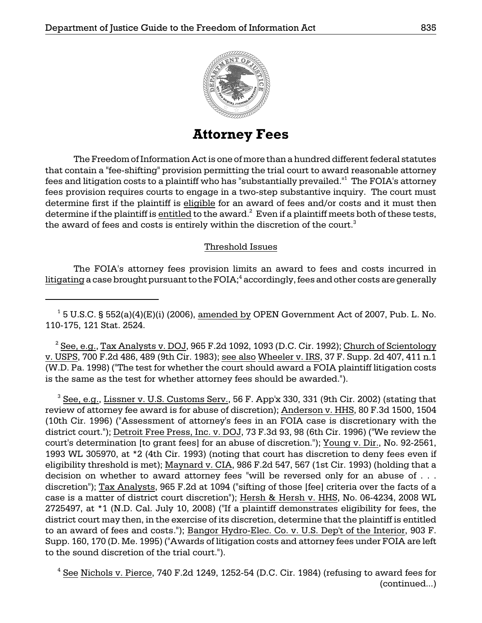

**Attorney Fees** 

The Freedom of Information Act is one of more than a hundred different federal statutes that contain a "fee-shifting" provision permitting the trial court to award reasonable attorney fees and litigation costs to a plaintiff who has "substantially prevailed."1 The FOIA's attorney fees provision requires courts to engage in a two-step substantive inquiry. The court must determine first if the plaintiff is eligible for an award of fees and/or costs and it must then determine if the plaintiff is entitled to the award.<sup>2</sup> Even if a plaintiff meets both of these tests, the award of fees and costs is entirely within the discretion of the court.<sup>3</sup>

# Threshold Issues

The FOIA's attorney fees provision limits an award to fees and costs incurred in  $\tt{litigating}$  a case brought pursuant to the  ${\rm FOIA,^4}$  accordingly, fees and other costs are generally

 $^1$  5 U.S.C. § 552(a)(4)(E)(i) (2006), <u>amended by</u> OPEN Government Act of 2007, Pub. L. No. 110-175, 121 Stat. 2524.

 $^2$  See, e.g., Tax Analysts v. DOJ, 965 F.2d 1092, 1093 (D.C. Cir. 1992); Church of Scientology v. USPS, 700 F.2d 486, 489 (9th Cir. 1983); see also Wheeler v. IRS, 37 F. Supp. 2d 407, 411 n.1 (W.D. Pa. 1998) ("The test for whether the court should award a FOIA plaintiff litigation costs is the same as the test for whether attorney fees should be awarded.").

 $^3$  See, e.g., Lissner v. U.S. Customs Serv., 56 F. App'x 330, 331 (9th Cir. 2002) (stating that review of attorney fee award is for abuse of discretion); Anderson v. HHS, 80 F.3d 1500, 1504 (10th Cir. 1996) ("Assessment of attorney's fees in an FOIA case is discretionary with the district court."); Detroit Free Press, Inc. v. DOJ, 73 F.3d 93, 98 (6th Cir. 1996) ("We review the court's determination [to grant fees] for an abuse of discretion."); Young v. Dir., No. 92-2561, 1993 WL 305970, at \*2 (4th Cir. 1993) (noting that court has discretion to deny fees even if eligibility threshold is met); Maynard v. CIA, 986 F.2d 547, 567 (1st Cir. 1993) (holding that a decision on whether to award attorney fees "will be reversed only for an abuse of . . . discretion"); Tax Analysts, 965 F.2d at 1094 ("sifting of those [fee] criteria over the facts of a case is a matter of district court discretion"); Hersh & Hersh v. HHS, No. 06-4234, 2008 WL 2725497, at \*1 (N.D. Cal. July 10, 2008) ("If a plaintiff demonstrates eligibility for fees, the district court may then, in the exercise of its discretion, determine that the plaintiff is entitled to an award of fees and costs."); Bangor Hydro-Elec. Co. v. U.S. Dep't of the Interior, 903 F. Supp. 160, 170 (D. Me. 1995) ("Awards of litigation costs and attorney fees under FOIA are left to the sound discretion of the trial court.").

 $4$  See Nichols v. Pierce, 740 F.2d 1249, 1252-54 (D.C. Cir. 1984) (refusing to award fees for (continued...)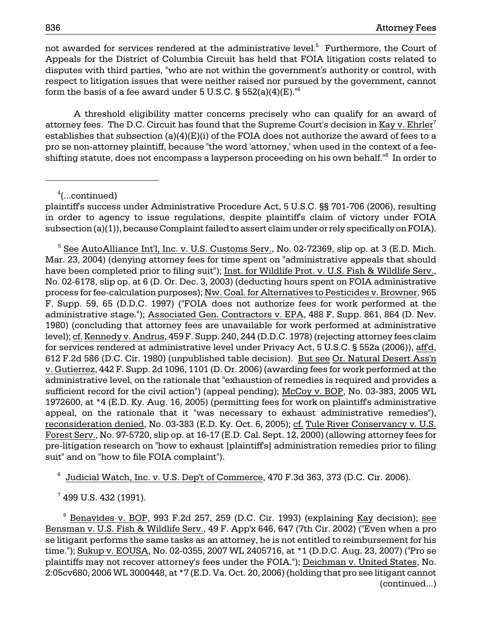not awarded for services rendered at the administrative level.<sup>5</sup> Furthermore, the Court of Appeals for the District of Columbia Circuit has held that FOIA litigation costs related to disputes with third parties, "who are not within the government's authority or control, with respect to litigation issues that were neither raised nor pursued by the government, cannot form the basis of a fee award under 5 U.S.C.  $\S$  552(a)(4)(E).<sup>16</sup>

A threshold eligibility matter concerns precisely who can qualify for an award of attorney fees. The D.C. Circuit has found that the Supreme Court's decision in Kay v. Ehrler<sup>7</sup> establishes that subsection (a)(4)(E)(i) of the FOIA does not authorize the award of fees to a pro se non-attorney plaintiff, because "the word 'attorney,' when used in the context of a feeshifting statute, does not encompass a layperson proceeding on his own behalf."<sup>8</sup> In order to

<sup>4</sup> (...continued)

plaintiff's success under Administrative Procedure Act, 5 U.S.C. §§ 701-706 (2006), resulting in order to agency to issue regulations, despite plaintiff's claim of victory under FOIA subsection (a)(1)), because Complaint failed to assert claim under or rely specifically on FOIA).

 $^5$  See AutoAlliance Int'l, Inc. v. U.S. Customs Serv., No. 02-72369, slip op. at 3 (E.D. Mich. Mar. 23, 2004) (denying attorney fees for time spent on "administrative appeals that should have been completed prior to filing suit"); Inst. for Wildlife Prot. v. U.S. Fish & Wildlife Serv., No. 02-6178, slip op. at 6 (D. Or. Dec. 3, 2003) (deducting hours spent on FOIA administrative process for fee-calculation purposes); Nw. Coal. for Alternatives to Pesticides v. Browner, 965 F. Supp. 59, 65 (D.D.C. 1997) ("FOIA does not authorize fees for work performed at the administrative stage."); Associated Gen. Contractors v. EPA, 488 F. Supp. 861, 864 (D. Nev. 1980) (concluding that attorney fees are unavailable for work performed at administrative level); cf. Kennedy v. Andrus, 459 F. Supp. 240, 244 (D.D.C. 1978) (rejecting attorney fees claim for services rendered at administrative level under Privacy Act, 5 U.S.C. § 552a (2006)), aff'd, 612 F.2d 586 (D.C. Cir. 1980) (unpublished table decision). But see Or. Natural Desert Ass'n v. Gutierrez, 442 F. Supp. 2d 1096, 1101 (D. Or. 2006) (awarding fees for work performed at the administrative level, on the rationale that "exhaustion of remedies is required and provides a sufficient record for the civil action") (appeal pending); McCoy v. BOP, No. 03-383, 2005 WL 1972600, at \*4 (E.D. Ky. Aug. 16, 2005) (permitting fees for work on plaintiff's administrative appeal, on the rationale that it "was necessary to exhaust administrative remedies"), reconsideration denied, No. 03-383 (E.D. Ky. Oct. 6, 2005); cf. Tule River Conservancy v. U.S. Forest Serv., No. 97-5720, slip op. at 16-17 (E.D. Cal. Sept. 12, 2000) (allowing attorney fees for pre-litigation research on "how to exhaust [plaintiff's] administration remedies prior to filing suit" and on "how to file FOIA complaint").

 $6$  Judicial Watch, Inc. v. U.S. Dep't of Commerce, 470 F.3d 363, 373 (D.C. Cir. 2006).

 $^7$  499 U.S. 432 (1991).

<sup>8</sup> Benavides v. BOP, 993 F.2d 257, 259 (D.C. Cir. 1993) (explaining Kay decision); see Bensman v. U.S. Fish & Wildlife Serv., 49 F. App'x 646, 647 (7th Cir. 2002) ("Even when a pro se litigant performs the same tasks as an attorney, he is not entitled to reimbursement for his time."); Sukup v. EOUSA, No. 02-0355, 2007 WL 2405716, at \*1 (D.D.C. Aug. 23, 2007) ("Pro se plaintiffs may not recover attorney's fees under the FOIA."); Deichman v. United States, No. 2:05cv680, 2006 WL 3000448, at \*7 (E.D. Va. Oct. 20, 2006) (holding that pro see litigant cannot (continued...)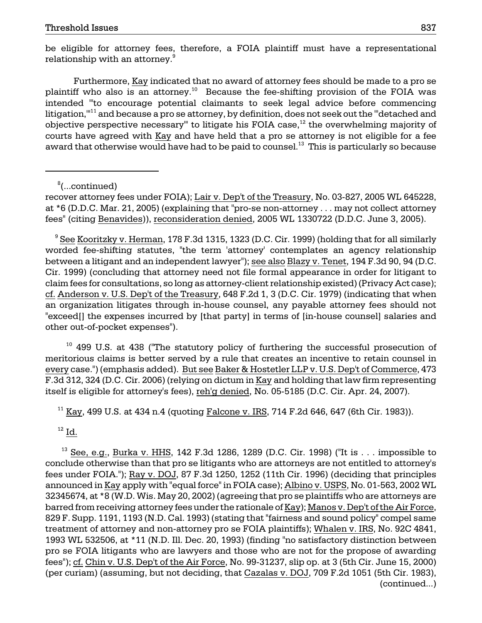be eligible for attorney fees, therefore, a FOIA plaintiff must have a representational relationship with an attorney.<sup>9</sup>

plaintiff who also is an attorney. $^{10}$  Because the fee-shifting provision of the FOIA was Furthermore, Kay indicated that no award of attorney fees should be made to a pro se intended "'to encourage potential claimants to seek legal advice before commencing litigation,"<sup>11</sup> and because a pro se attorney, by definition, does not seek out the "detached and objective perspective necessary" to litigate his FOIA case, $^{12}$  the overwhelming majority of courts have agreed with Kay and have held that a pro se attorney is not eligible for a fee award that otherwise would have had to be paid to counsel.<sup>13</sup> This is particularly so because

8 (...continued)

recover attorney fees under FOIA); Lair v. Dep't of the Treasury, No. 03-827, 2005 WL 645228, at \*6 (D.D.C. Mar. 21, 2005) (explaining that "pro-se non-attorney . . . may not collect attorney fees" (citing Benavides)), reconsideration denied, 2005 WL 1330722 (D.D.C. June 3, 2005).

<sup>9</sup> See Kooritzky v. Herman, 178 F.3d 1315, 1323 (D.C. Cir. 1999) (holding that for all similarly worded fee-shifting statutes, "the term 'attorney' contemplates an agency relationship between a litigant and an independent lawyer"); see also Blazy v. Tenet, 194 F.3d 90, 94 (D.C. Cir. 1999) (concluding that attorney need not file formal appearance in order for litigant to claim fees for consultations, so long as attorney-client relationship existed) (Privacy Act case); cf. Anderson v. U.S. Dep't of the Treasury, 648 F.2d 1, 3 (D.C. Cir. 1979) (indicating that when an organization litigates through in-house counsel, any payable attorney fees should not "exceed[] the expenses incurred by [that party] in terms of [in-house counsel] salaries and other out-of-pocket expenses").

 $10$  499 U.S. at 438 ("The statutory policy of furthering the successful prosecution of meritorious claims is better served by a rule that creates an incentive to retain counsel in every case.") (emphasis added). But see Baker & Hostetler LLP v. U.S. Dep't of Commerce, 473 F.3d 312, 324 (D.C. Cir. 2006) (relying on dictum in Kay and holding that law firm representing itself is eligible for attorney's fees), reh'g denied, No. 05-5185 (D.C. Cir. Apr. 24, 2007).

<sup>11</sup> Kay, 499 U.S. at 434 n.4 (quoting Falcone v. IRS, 714 F.2d 646, 647 (6th Cir. 1983)).

 $12$  Id.

 conclude otherwise than that pro se litigants who are attorneys are not entitled to attorney's announced in <u>Kay</u> apply with "equal force" in FOIA case); <u>Albino v. USPS,</u> No. 01-563, 2002 WL 32345674, at \*8 (W.D. Wis. May 20, 2002) (agreeing that pro se plaintiffs who are attorneys are 829 F. Supp. 1191, 1193 (N.D. Cal. 1993) (stating that "fairness and sound policy" compel same  $13$  See, e.g., Burka v. HHS, 142 F.3d 1286, 1289 (D.C. Cir. 1998) ("It is ... impossible to fees under FOIA."); Ray v. DOJ, 87 F.3d 1250, 1252 (11th Cir. 1996) (deciding that principles barred from receiving attorney fees under the rationale of Kay); Manos v. Dep't of the Air Force, treatment of attorney and non-attorney pro se FOIA plaintiffs); Whalen v. IRS, No. 92C 4841, 1993 WL 532506, at \*11 (N.D. Ill. Dec. 20, 1993) (finding "no satisfactory distinction between pro se FOIA litigants who are lawyers and those who are not for the propose of awarding fees"); cf. Chin v. U.S. Dep't of the Air Force, No. 99-31237, slip op. at 3 (5th Cir. June 15, 2000) (per curiam) (assuming, but not deciding, that Cazalas v. DOJ, 709 F.2d 1051 (5th Cir. 1983), (continued...)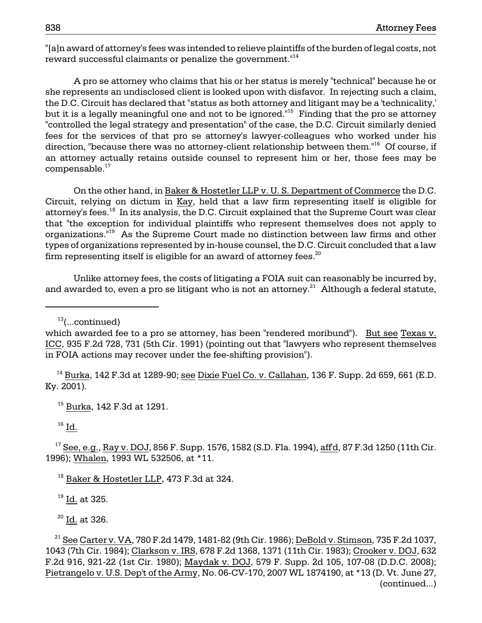"[a]n award of attorney's fees was intended to relieve plaintiffs of the burden of legal costs, not reward successful claimants or penalize the government."<sup>14</sup>

 she represents an undisclosed client is looked upon with disfavor. In rejecting such a claim, A pro se attorney who claims that his or her status is merely "technical" because he or the D.C. Circuit has declared that "status as both attorney and litigant may be a 'technicality,' but it is a legally meaningful one and not to be ignored.<sup>"15</sup> Finding that the pro se attorney "controlled the legal strategy and presentation" of the case, the D.C. Circuit similarly denied fees for the services of that pro se attorney's lawyer-colleagues who worked under his direction, "because there was no attorney-client relationship between them."16 Of course, if an attorney actually retains outside counsel to represent him or her, those fees may be compensable.<sup>17</sup>

On the other hand, in Baker & Hostetler LLP v. U. S. Department of Commerce the D.C. Circuit, relying on dictum in Kay, held that a law firm representing itself is eligible for attorney's fees.18 In its analysis, the D.C. Circuit explained that the Supreme Court was clear that "the exception for individual plaintiffs who represent themselves does not apply to organizations."19 As the Supreme Court made no distinction between law firms and other types of organizations represented by in-house counsel, the D.C. Circuit concluded that a law firm representing itself is eligible for an award of attorney fees. $^{20}$ 

 Unlike attorney fees, the costs of litigating a FOIA suit can reasonably be incurred by, and awarded to, even a pro se litigant who is not an attorney. $^{21}$  Although a federal statute,

 $13$ (...continued)

 $14$  Burka, 142 F.3d at 1289-90; see Dixie Fuel Co. v. Callahan, 136 F. Supp. 2d 659, 661 (E.D. Ky. 2001).

15 Burka, 142 F.3d at 1291.

 $16$  Id.

 $17$  See, e.g., Ray v. DOJ, 856 F. Supp. 1576, 1582 (S.D. Fla. 1994), affd, 87 F.3d 1250 (11th Cir. 1996); Whalen, 1993 WL 532506, at \*11.

<sup>18</sup> Baker & Hostetler LLP, 473 F.3d at 324.

19 Id. at 325.

<sup>20</sup> Id. at 326.

which awarded fee to a pro se attorney, has been "rendered moribund"). But see Texas v. ICC, 935 F.2d 728, 731 (5th Cir. 1991) (pointing out that "lawyers who represent themselves in FOIA actions may recover under the fee-shifting provision").

Pietrangelo v. U.S. Dep't of the Army, No. 06-CV-170, 2007 WL 1874190, at \*13 (D. Vt. June 27,  $^{21}$  See Carter v. VA, 780 F.2d 1479, 1481-82 (9th Cir. 1986); DeBold v. Stimson, 735 F.2d 1037, 1043 (7th Cir. 1984); Clarkson v. IRS, 678 F.2d 1368, 1371 (11th Cir. 1983); Crooker v. DOJ, 632 F.2d 916, 921-22 (1st Cir. 1980); Maydak v. DOJ, 579 F. Supp. 2d 105, 107-08 (D.D.C. 2008); (continued...)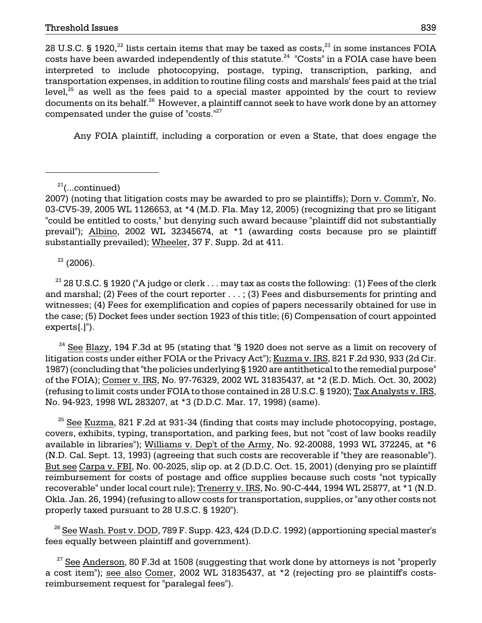28 U.S.C. § 1920, $^{22}$  lists certain items that may be taxed as costs, $^{23}$  in some instances FOIA costs have been awarded independently of this statute. $24$  "Costs" in a FOIA case have been interpreted to include photocopying, postage, typing, transcription, parking, and transportation expenses, in addition to routine filing costs and marshals' fees paid at the trial level, $25$  as well as the fees paid to a special master appointed by the court to review documents on its behalf.<sup>26</sup> However, a plaintiff cannot seek to have work done by an attorney compensated under the guise of "costs."27

Any FOIA plaintiff, including a corporation or even a State, that does engage the

 $22$  (2006).

 $^{23}$  28 U.S.C. § 1920 ("A judge or clerk  $\dots$  may tax as costs the following: (1) Fees of the clerk and marshal; (2) Fees of the court reporter . . . ; (3) Fees and disbursements for printing and witnesses; (4) Fees for exemplification and copies of papers necessarily obtained for use in the case; (5) Docket fees under section 1923 of this title; (6) Compensation of court appointed experts[.]").

 $24$  See Blazy, 194 F.3d at 95 (stating that "§ 1920 does not serve as a limit on recovery of litigation costs under either FOIA or the Privacy Act"); Kuzma v. IRS, 821 F.2d 930, 933 (2d Cir. 1987) (concluding that "the policies underlying § 1920 are antithetical to the remedial purpose" of the FOIA); Comer v. IRS, No. 97-76329, 2002 WL 31835437, at \*2 (E.D. Mich. Oct. 30, 2002) (refusing to limit costs under FOIA to those contained in 28 U.S.C. § 1920); Tax Analysts v. IRS, No. 94-923, 1998 WL 283207, at \*3 (D.D.C. Mar. 17, 1998) (same).

 $25$  See Kuzma, 821 F.2d at 931-34 (finding that costs may include photocopying, postage, covers, exhibits, typing, transportation, and parking fees, but not "cost of law books readily available in libraries"); Williams v. Dep't of the Army, No. 92-20088, 1993 WL 372245, at \*6 (N.D. Cal. Sept. 13, 1993) (agreeing that such costs are recoverable if "they are reasonable"). But see Carpa v. FBI, No. 00-2025, slip op. at 2 (D.D.C. Oct. 15, 2001) (denying pro se plaintiff reimbursement for costs of postage and office supplies because such costs "not typically recoverable" under local court rule); Trenerry v. IRS, No. 90-C-444, 1994 WL 25877, at \*1 (N.D. Okla. Jan. 26, 1994) (refusing to allow costs for transportation, supplies, or "any other costs not properly taxed pursuant to 28 U.S.C. § 1920").

 $^{26}$  See Wash. Post v. DOD, 789 F. Supp. 423, 424 (D.D.C. 1992) (apportioning special master's fees equally between plaintiff and government).

 $27$  See Anderson, 80 F.3d at 1508 (suggesting that work done by attorneys is not "properly a cost item"); see also Comer, 2002 WL 31835437, at \*2 (rejecting pro se plaintiff's costsreimbursement request for "paralegal fees").

 $21$ (...continued)

<sup>2007) (</sup>noting that litigation costs may be awarded to pro se plaintiffs); Dorn v. Comm'r, No. 03-CV5-39, 2005 WL 1126653, at \*4 (M.D. Fla. May 12, 2005) (recognizing that pro se litigant "could be entitled to costs," but denying such award because "plaintiff did not substantially prevail"); Albino, 2002 WL 32345674, at \*1 (awarding costs because pro se plaintiff substantially prevailed); Wheeler, 37 F. Supp. 2d at 411.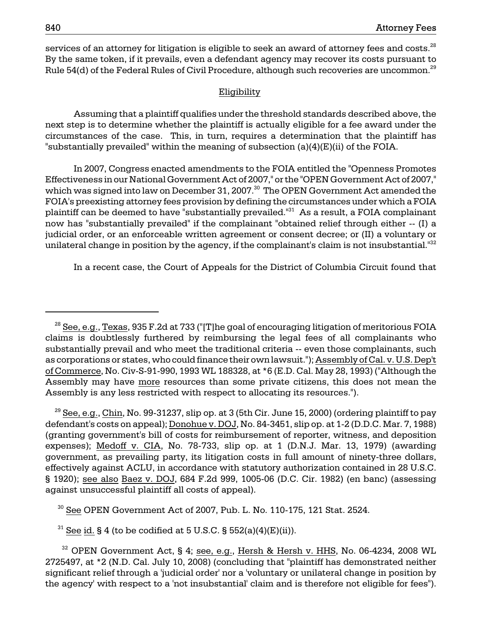services of an attorney for litigation is eligible to seek an award of attorney fees and costs. $^{28}$ By the same token, if it prevails, even a defendant agency may recover its costs pursuant to Rule 54(d) of the Federal Rules of Civil Procedure, although such recoveries are uncommon.<sup>29</sup>

#### Eligibility

 Assuming that a plaintiff qualifies under the threshold standards described above, the next step is to determine whether the plaintiff is actually eligible for a fee award under the circumstances of the case. This, in turn, requires a determination that the plaintiff has "substantially prevailed" within the meaning of subsection (a)(4)(E)(ii) of the FOIA.

plaintiff can be deemed to have "substantially prevailed."<sup>31</sup> As a result, a FOIA complainant now has "substantially prevailed" if the complainant "obtained relief through either -- (I) a In 2007, Congress enacted amendments to the FOIA entitled the "Openness Promotes Effectiveness in our National Government Act of 2007," or the "OPEN Government Act of 2007," which was signed into law on December 31, 2007.<sup>30</sup> The OPEN Government Act amended the FOIA's preexisting attorney fees provision by defining the circumstances under which a FOIA judicial order, or an enforceable written agreement or consent decree; or (II) a voluntary or unilateral change in position by the agency, if the complainant's claim is not insubstantial. $^{132}$ 

In a recent case, the Court of Appeals for the District of Columbia Circuit found that

 $^{29}$  See, e.g., Chin, No. 99-31237, slip op. at 3 (5th Cir. June 15, 2000) (ordering plaintiff to pay defendant's costs on appeal); Donohue v. DOJ, No. 84-3451, slip op. at 1-2 (D.D.C. Mar. 7, 1988) (granting government's bill of costs for reimbursement of reporter, witness, and deposition expenses); Medoff v. CIA, No. 78-733, slip op. at 1 (D.N.J. Mar. 13, 1979) (awarding government, as prevailing party, its litigation costs in full amount of ninety-three dollars, effectively against ACLU, in accordance with statutory authorization contained in 28 U.S.C. § 1920); see also Baez v. DOJ, 684 F.2d 999, 1005-06 (D.C. Cir. 1982) (en banc) (assessing against unsuccessful plaintiff all costs of appeal).

 $30$  See OPEN Government Act of 2007, Pub. L. No. 110-175, 121 Stat. 2524.

<sup>31</sup> See id. § 4 (to be codified at 5 U.S.C. § 552(a)(4)(E)(ii)).

as corporations or states, who could finance their own lawsuit."); Assembly of Cal. v. U.S. Dep't of Commerce, No. Civ-S-91-990, 1993 WL 188328, at \*6 (E.D. Cal. May 28, 1993) ("Although the <sup>28</sup> See, e.g., Texas, 935 F.2d at 733 ("[T]he goal of encouraging litigation of meritorious FOIA claims is doubtlessly furthered by reimbursing the legal fees of all complainants who substantially prevail and who meet the traditional criteria -- even those complainants, such Assembly may have more resources than some private citizens, this does not mean the Assembly is any less restricted with respect to allocating its resources.").

 $32$  OPEN Government Act, § 4; see, e.g., Hersh & Hersh v. HHS, No. 06-4234, 2008 WL 2725497, at \*2 (N.D. Cal. July 10, 2008) (concluding that "plaintiff has demonstrated neither significant relief through a 'judicial order' nor a 'voluntary or unilateral change in position by the agency' with respect to a 'not insubstantial' claim and is therefore not eligible for fees").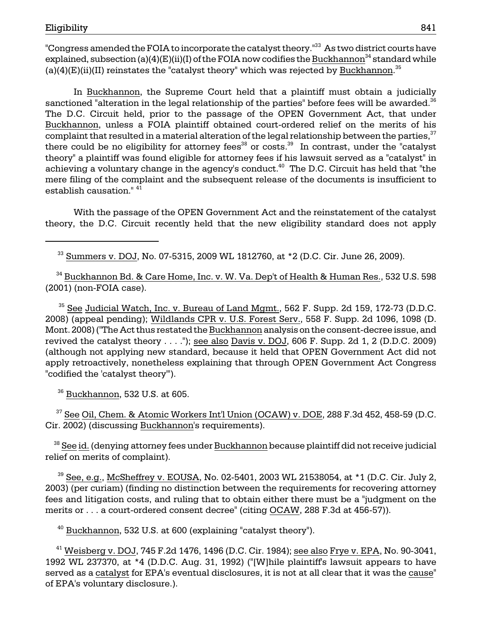(a)(4)(E)(ii)(II) reinstates the "catalyst theory" which was rejected by  $\frac{\text{Buckhannon.}}{35}$ "Congress amended the FOIA to incorporate the catalyst theory."<sup>33</sup> As two district courts have explained, subsection (a)(4)(E)(ii)(I) of the FOIA now codifies the Buckhannon<sup>34</sup> standard while

In Buckhannon, the Supreme Court held that a plaintiff must obtain a judicially sanctioned "alteration in the legal relationship of the parties" before fees will be awarded.<sup>36</sup> The D.C. Circuit held, prior to the passage of the OPEN Government Act, that under Buckhannon, unless a FOIA plaintiff obtained court-ordered relief on the merits of his complaint that resulted in a material alteration of the legal relationship between the parties,  $37$ there could be no eligibility for attorney fees<sup>38</sup> or costs.<sup>39</sup> In contrast, under the "catalyst" theory" a plaintiff was found eligible for attorney fees if his lawsuit served as a "catalyst" in achieving a voluntary change in the agency's conduct.<sup>40</sup> The D.C. Circuit has held that "the mere filing of the complaint and the subsequent release of the documents is insufficient to establish causation." 41

With the passage of the OPEN Government Act and the reinstatement of the catalyst theory, the D.C. Circuit recently held that the new eligibility standard does not apply

33 Summers v. DOJ, No. 07-5315, 2009 WL 1812760, at \*2 (D.C. Cir. June 26, 2009).

 $^{34}$  Buckhannon Bd. & Care Home, Inc. v. W. Va. Dep't of Health & Human Res., 532 U.S. 598 (2001) (non-FOIA case).

 $35$  See Judicial Watch, Inc. v. Bureau of Land Mgmt., 562 F. Supp. 2d 159, 172-73 (D.D.C.) 2008) (appeal pending); Wildlands CPR v. U.S. Forest Serv., 558 F. Supp. 2d 1096, 1098 (D. Mont. 2008) ("The Act thus restated the Buckhannon analysis on the consent-decree issue, and revived the catalyst theory . . . ."); see also Davis v. DOJ, 606 F. Supp. 2d 1, 2 (D.D.C. 2009) (although not applying new standard, because it held that OPEN Government Act did not apply retroactively, nonetheless explaining that through OPEN Government Act Congress "codified the 'catalyst theory'").

 $36$  Buckhannon, 532 U.S. at 605.

<sup>37</sup> See Oil, Chem. & Atomic Worke<u>rs Int'l Union (OCAW) v. DOE</u>, 288 F.3d 452, 458-59 (D.C. Cir. 2002) (discussing Buckhannon's requirements).

<sup>38</sup> See id. (denying attorney fees under Buckhannon because plaintiff did not receive judicial relief on merits of complaint).

 $^{39}$  See, e.g., McSheffrey v. EOUSA, No. 02-5401, 2003 WL 21538054, at \*1 (D.C. Cir. July 2, 2003) (per curiam) (finding no distinction between the requirements for recovering attorney fees and litigation costs, and ruling that to obtain either there must be a "judgment on the merits or . . . a court-ordered consent decree" (citing OCAW, 288 F.3d at 456-57)).

 $40$  Buckhannon, 532 U.S. at 600 (explaining "catalyst theory").

 $41$  Weisberg v. DOJ, 745 F.2d 1476, 1496 (D.C. Cir. 1984); see also Frye v. EPA, No. 90-3041, 1992 WL 237370, at \*4 (D.D.C. Aug. 31, 1992) ("[W]hile plaintiff's lawsuit appears to have served as a catalyst for EPA's eventual disclosures, it is not at all clear that it was the cause" of EPA's voluntary disclosure.).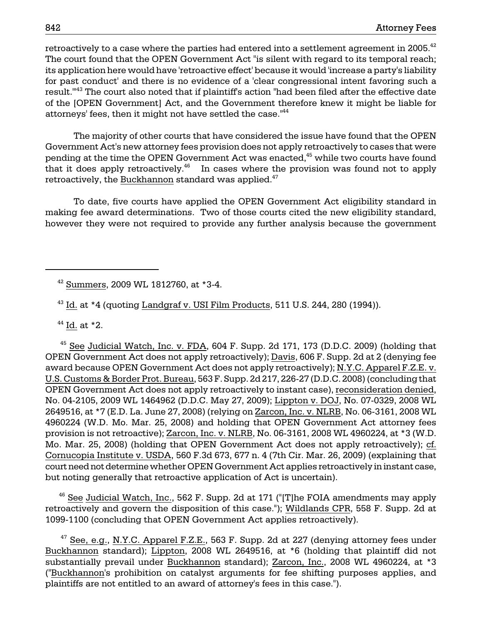retroactively to a case where the parties had entered into a settlement agreement in 2005.<sup>42</sup> The court found that the OPEN Government Act "is silent with regard to its temporal reach; its application here would have 'retroactive effect' because it would 'increase a party's liability for past conduct' and there is no evidence of a 'clear congressional intent favoring such a result.'"43 The court also noted that if plaintiff's action "had been filed after the effective date of the [OPEN Government] Act, and the Government therefore knew it might be liable for attorneys' fees, then it might not have settled the case."44

The majority of other courts that have considered the issue have found that the OPEN Government Act's new attorney fees provision does not apply retroactively to cases that were pending at the time the OPEN Government Act was enacted,<sup>45</sup> while two courts have found that it does apply retroactively.<sup>46</sup> In cases where the provision was found not to apply retroactively, the Buckhannon standard was applied.<sup>47</sup>

To date, five courts have applied the OPEN Government Act eligibility standard in making fee award determinations. Two of those courts cited the new eligibility standard, however they were not required to provide any further analysis because the government

 $44$  Id. at  $*2$ .

 $45$  See Judicial Watch, Inc. v. FDA, 604 F. Supp. 2d 171, 173 (D.D.C. 2009) (holding that OPEN Government Act does not apply retroactively); Davis, 606 F. Supp. 2d at 2 (denying fee award because OPEN Government Act does not apply retroactively); N.Y.C. Apparel F.Z.E. v. U.S. Customs & Border Prot. Bureau, 563 F. Supp. 2d 217, 226-27 (D.D.C. 2008) (concluding that OPEN Government Act does not apply retroactively to instant case), reconsideration denied, No. 04-2105, 2009 WL 1464962 (D.D.C. May 27, 2009); Lippton v. DOJ, No. 07-0329, 2008 WL 2649516, at \*7 (E.D. La. June 27, 2008) (relying on Zarcon, Inc. v. NLRB, No. 06-3161, 2008 WL 4960224 (W.D. Mo. Mar. 25, 2008) and holding that OPEN Government Act attorney fees provision is not retroactive); Zarcon, Inc. v. NLRB, No. 06-3161, 2008 WL 4960224, at \*3 (W.D. Mo. Mar. 25, 2008) (holding that OPEN Government Act does not apply retroactively); cf. Cornucopia Institute v. USDA, 560 F.3d 673, 677 n. 4 (7th Cir. Mar. 26, 2009) (explaining that court need not determine whether OPEN Government Act applies retroactively in instant case, but noting generally that retroactive application of Act is uncertain).

 $46$  See Judicial Watch, Inc., 562 F. Supp. 2d at 171 ("[T]he FOIA amendments may apply retroactively and govern the disposition of this case."); Wildlands CPR, 558 F. Supp. 2d at 1099-1100 (concluding that OPEN Government Act applies retroactively).

 $47$  See, e.g., N.Y.C. Apparel F.Z.E., 563 F. Supp. 2d at 227 (denying attorney fees under Buckhannon standard); Lippton, 2008 WL 2649516, at \*6 (holding that plaintiff did not substantially prevail under Buckhannon standard); Zarcon, Inc., 2008 WL 4960224, at \*3 ("Buckhannon's prohibition on catalyst arguments for fee shifting purposes applies, and plaintiffs are not entitled to an award of attorney's fees in this case.").

 $42$  Summers, 2009 WL 1812760, at  $*3-4$ .

 $43$  Id. at  $*4$  (quoting Landgraf v. USI Film Products, 511 U.S. 244, 280 (1994)).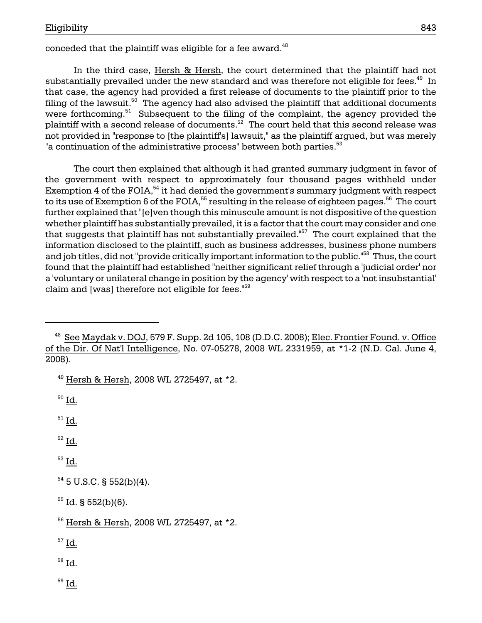conceded that the plaintiff was eligible for a fee award. $^{48}$ 

"a continuation of the administrative process" between both parties. $^{\rm 53}$ In the third case, Hersh & Hersh, the court determined that the plaintiff had not substantially prevailed under the new standard and was therefore not eligible for fees.<sup>49</sup> In that case, the agency had provided a first release of documents to the plaintiff prior to the filing of the lawsuit. $50$  The agency had also advised the plaintiff that additional documents were forthcoming.<sup>51</sup> Subsequent to the filing of the complaint, the agency provided the plaintiff with a second release of documents. $52$  The court held that this second release was not provided in "response to [the plaintiff's] lawsuit," as the plaintiff argued, but was merely

to its use of Exemption 6 of the FOIA, $^{\rm 55}$  resulting in the release of eighteen pages. $^{\rm 56}$  The court and job titles, did not "provide critically important information to the public."<sup>58</sup> Thus, the court The court then explained that although it had granted summary judgment in favor of the government with respect to approximately four thousand pages withheld under Exemption 4 of the FOIA, $54$  it had denied the government's summary judgment with respect further explained that "[e]ven though this minuscule amount is not dispositive of the question whether plaintiff has substantially prevailed, it is a factor that the court may consider and one that suggests that plaintiff has not substantially prevailed.<sup> $157$ </sup> The court explained that the information disclosed to the plaintiff, such as business addresses, business phone numbers found that the plaintiff had established "neither significant relief through a 'judicial order' nor a 'voluntary or unilateral change in position by the agency' with respect to a 'not insubstantial' claim and [was] therefore not eligible for fees."<sup>59</sup>

 $50$  Id.

 $51$  Id.

52 Id.

 $53$  Id.

 $54$  5 U.S.C. § 552(b)(4).

 $55$  Id. § 552(b)(6).

 $^{57}$  Id.

 $58$  Id.

 $59$  Id.

 $48$  See Maydak v. DOJ, 579 F. Supp. 2d 105, 108 (D.D.C. 2008); Elec. Frontier Found. v. Office of the Dir. Of Nat'l Intelligence, No. 07-05278, 2008 WL 2331959, at \*1-2 (N.D. Cal. June 4, 2008).

 $49$  Hersh & Hersh, 2008 WL 2725497, at  $*2$ .

<sup>56</sup> Hersh & Hersh, 2008 WL 2725497, at \*2.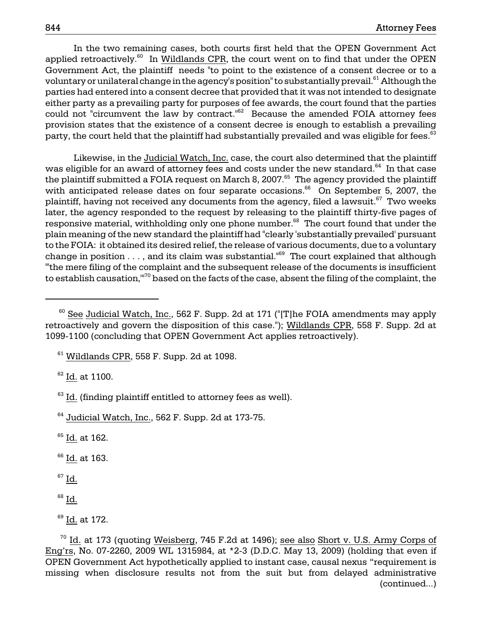In the two remaining cases, both courts first held that the OPEN Government Act voluntary or unilateral change in the agency's position" to substantially prevail. $^{\rm 61}$  Although the parties had entered into a consent decree that provided that it was not intended to designate applied retroactively.<sup>60</sup> In Wildlands CPR, the court went on to find that under the OPEN Government Act, the plaintiff needs "to point to the existence of a consent decree or to a either party as a prevailing party for purposes of fee awards, the court found that the parties could not "circumvent the law by contract."<sup>62</sup> Because the amended FOIA attorney fees provision states that the existence of a consent decree is enough to establish a prevailing party, the court held that the plaintiff had substantially prevailed and was eligible for fees.<sup>63</sup>

 to the FOIA: it obtained its desired relief, the release of various documents, due to a voluntary Likewise, in the Judicial Watch, Inc. case, the court also determined that the plaintiff was eligible for an award of attorney fees and costs under the new standard.<sup>64</sup> In that case the plaintiff submitted a FOIA request on March 8, 2007.<sup>65</sup> The agency provided the plaintiff with anticipated release dates on four separate occasions.<sup>66</sup> On September 5, 2007, the plaintiff, having not received any documents from the agency, filed a lawsuit.<sup>67</sup> Two weeks later, the agency responded to the request by releasing to the plaintiff thirty-five pages of responsive material, withholding only one phone number.<sup>68</sup> The court found that under the plain meaning of the new standard the plaintiff had "clearly 'substantially prevailed' pursuant change in position  $\dots$ , and its claim was substantial."<sup>69</sup> The court explained that although "'the mere filing of the complaint and the subsequent release of the documents is insufficient to establish causation,"<sup>70</sup> based on the facts of the case, absent the filing of the complaint, the

 $62$  Id. at 1100.

<sup>65</sup> Id. at 162.

 $66$  Id. at 163.

 $67$  Id.

69 Id. at 172.

 $60$  See Judicial Watch, Inc., 562 F. Supp. 2d at 171 ("[T]he FOIA amendments may apply retroactively and govern the disposition of this case."); Wildlands CPR, 558 F. Supp. 2d at 1099-1100 (concluding that OPEN Government Act applies retroactively).

 $61$  Wildlands CPR, 558 F. Supp. 2d at 1098.

 $63$  Id. (finding plaintiff entitled to attorney fees as well).

 $64$  Judicial Watch, Inc., 562 F. Supp. 2d at 173-75.

 $68$  Id.

 $70$  Id. at 173 (quoting Weisberg, 745 F.2d at 1496); see also Short v. U.S. Army Corps of Eng'rs, No. 07-2260, 2009 WL 1315984, at \*2-3 (D.D.C. May 13, 2009) (holding that even if OPEN Government Act hypothetically applied to instant case, causal nexus "requirement is missing when disclosure results not from the suit but from delayed administrative (continued...)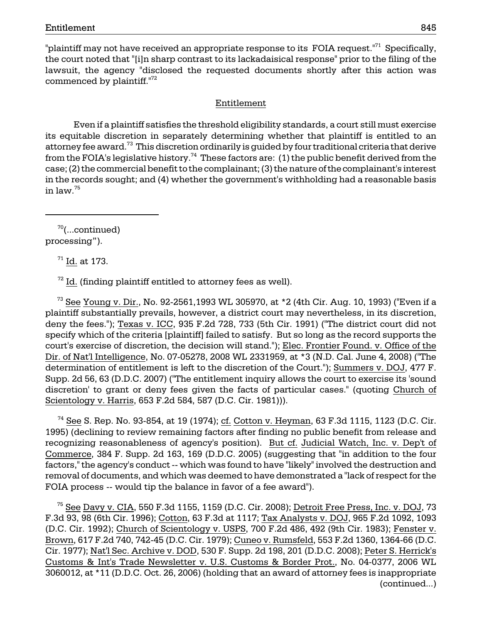"plaintiff may not have received an appropriate response to its FOIA request."<sup>71</sup> Specifically, the court noted that "[i]n sharp contrast to its lackadaisical response" prior to the filing of the lawsuit, the agency "disclosed the requested documents shortly after this action was commenced by plaintiff. $172$ 

## Entitlement

Even if a plaintiff satisfies the threshold eligibility standards, a court still must exercise its equitable discretion in separately determining whether that plaintiff is entitled to an attorney fee award.<sup>73</sup> This discretion ordinarily is guided by four traditional criteria that derive from the FOIA's legislative history.<sup>74</sup> These factors are: (1) the public benefit derived from the case; (2) the commercial benefit to the complainant; (3) the nature of the complainant's interest in the records sought; and (4) whether the government's withholding had a reasonable basis in law.<sup>75</sup>

 $70$ (...continued) processing").

71 Id. at 173.

 $72$  Id. (finding plaintiff entitled to attorney fees as well).

 $^{73}$  See Young v. Dir., No. 92-2561,1993 WL 305970, at  $*2$  (4th Cir. Aug. 10, 1993) ("Even if a plaintiff substantially prevails, however, a district court may nevertheless, in its discretion, deny the fees."); Texas v. ICC, 935 F.2d 728, 733 (5th Cir. 1991) ("The district court did not specify which of the criteria [plaintiff] failed to satisfy. But so long as the record supports the court's exercise of discretion, the decision will stand."); Elec. Frontier Found. v. Office of the Dir. of Nat'l Intelligence, No. 07-05278, 2008 WL 2331959, at \*3 (N.D. Cal. June 4, 2008) ("The determination of entitlement is left to the discretion of the Court."); Summers v. DOJ, 477 F. Supp. 2d 56, 63 (D.D.C. 2007) ("The entitlement inquiry allows the court to exercise its 'sound discretion' to grant or deny fees given the facts of particular cases." (quoting Church of Scientology v. Harris, 653 F.2d 584, 587 (D.C. Cir. 1981))).

 $74$  See S. Rep. No. 93-854, at 19 (1974); cf. Cotton v. Heyman, 63 F.3d 1115, 1123 (D.C. Cir. 1995) (declining to review remaining factors after finding no public benefit from release and recognizing reasonableness of agency's position). But cf. Judicial Watch, Inc. v. Dep't of Commerce, 384 F. Supp. 2d 163, 169 (D.D.C. 2005) (suggesting that "in addition to the four factors," the agency's conduct -- which was found to have "likely" involved the destruction and removal of documents, and which was deemed to have demonstrated a "lack of respect for the FOIA process -- would tip the balance in favor of a fee award").

 $75$  See Davy v. CIA, 550 F.3d 1155, 1159 (D.C. Cir. 2008); Detroit Free Press, Inc. v. DOJ, 73 F.3d 93, 98 (6th Cir. 1996); Cotton, 63 F.3d at 1117; Tax Analysts v. DOJ, 965 F.2d 1092, 1093 (D.C. Cir. 1992); Church of Scientology v. USPS, 700 F.2d 486, 492 (9th Cir. 1983); Fenster v. Brown, 617 F.2d 740, 742-45 (D.C. Cir. 1979); Cuneo v. Rumsfeld, 553 F.2d 1360, 1364-66 (D.C. Cir. 1977); Nat'l Sec. Archive v. DOD, 530 F. Supp. 2d 198, 201 (D.D.C. 2008); Peter S. Herrick's Customs & Int's Trade Newsletter v. U.S. Customs & Border Prot., No. 04-0377, 2006 WL 3060012, at \*11 (D.D.C. Oct. 26, 2006) (holding that an award of attorney fees is inappropriate (continued...)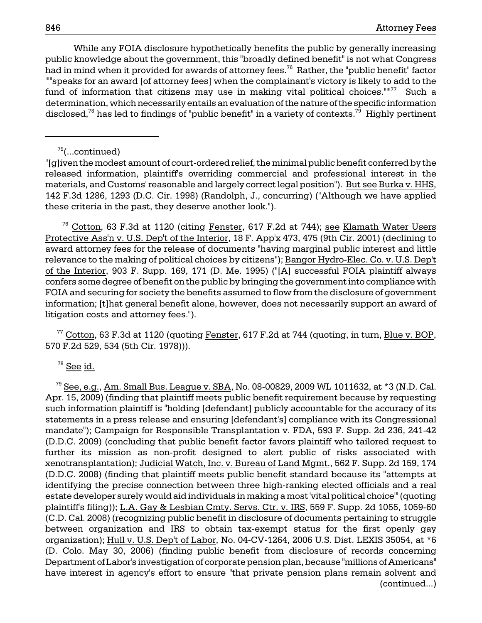While any FOIA disclosure hypothetically benefits the public by generally increasing public knowledge about the government, this "broadly defined benefit" is not what Congress had in mind when it provided for awards of attorney fees.<sup>76</sup> Rather, the "public benefit" factor ""speaks for an award [of attorney fees] when the complainant's victory is likely to add to the fund of information that citizens may use in making vital political choices."" $77$  Such a determination, which necessarily entails an evaluation of the nature of the specific information disclosed,<sup>78</sup> has led to findings of "public benefit" in a variety of contexts.<sup>79</sup> Highly pertinent

## $75$ (...continued)

"[g]iven the modest amount of court-ordered relief, the minimal public benefit conferred by the released information, plaintiff's overriding commercial and professional interest in the materials, and Customs' reasonable and largely correct legal position"). But see Burka v. HHS, 142 F.3d 1286, 1293 (D.C. Cir. 1998) (Randolph, J., concurring) ("Although we have applied these criteria in the past, they deserve another look.").

 $76$  Cotton, 63 F.3d at 1120 (citing Fenster, 617 F.2d at 744); see Klamath Water Users Protective Ass'n v. U.S. Dep't of the Interior, 18 F. App'x 473, 475 (9th Cir. 2001) (declining to award attorney fees for the release of documents "having marginal public interest and little relevance to the making of political choices by citizens"); Bangor Hydro-Elec. Co. v. U.S. Dep't of the Interior, 903 F. Supp. 169, 171 (D. Me. 1995) ("[A] successful FOIA plaintiff always confers some degree of benefit on the public by bringing the government into compliance with FOIA and securing for society the benefits assumed to flow from the disclosure of government information; [t]hat general benefit alone, however, does not necessarily support an award of litigation costs and attorney fees.").

 $77$  Cotton, 63 F.3d at 1120 (quoting Fenster, 617 F.2d at 744 (quoting, in turn, Blue v. BOP, 570 F.2d 529, 534 (5th Cir. 1978))).

 $78$  See  $\underline{\text{id}}$ .

 $^{79}$  See, e.g., Am. Small Bus. League v. SBA, No. 08-00829, 2009 WL 1011632, at  $*3$  (N.D. Cal. Apr. 15, 2009) (finding that plaintiff meets public benefit requirement because by requesting such information plaintiff is "holding [defendant] publicly accountable for the accuracy of its statements in a press release and ensuring [defendant's] compliance with its Congressional mandate"); Campaign for Responsible Transplantation v. FDA, 593 F. Supp. 2d 236, 241-42 (D.D.C. 2009) (concluding that public benefit factor favors plaintiff who tailored request to further its mission as non-profit designed to alert public of risks associated with xenotransplantation); Judicial Watch, Inc. v. Bureau of Land Mgmt., 562 F. Supp. 2d 159, 174 (D.D.C. 2008) (finding that plaintiff meets public benefit standard because its "attempts at identifying the precise connection between three high-ranking elected officials and a real estate developer surely would aid individuals in making a most 'vital political choice'" (quoting plaintiff's filing)); L.A. Gay & Lesbian Cmty. Servs. Ctr. v. IRS, 559 F. Supp. 2d 1055, 1059-60 (C.D. Cal. 2008) (recognizing public benefit in disclosure of documents pertaining to struggle between organization and IRS to obtain tax-exempt status for the first openly gay organization); Hull v. U.S. Dep't of Labor, No. 04-CV-1264, 2006 U.S. Dist. LEXIS 35054, at \*6 (D. Colo. May 30, 2006) (finding public benefit from disclosure of records concerning Department of Labor's investigation of corporate pension plan, because "millions of Americans" have interest in agency's effort to ensure "that private pension plans remain solvent and (continued...)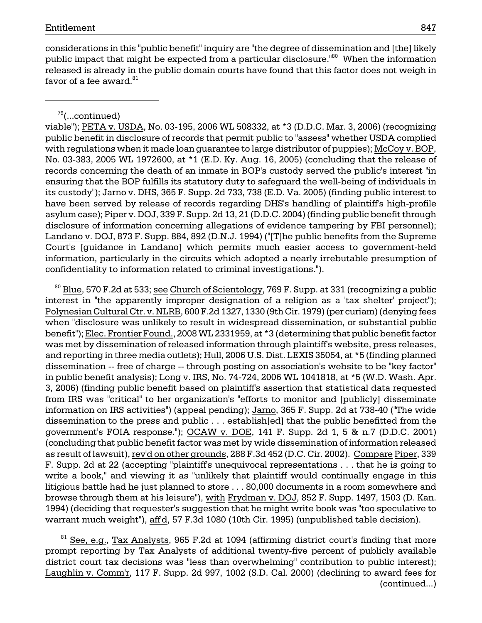considerations in this "public benefit" inquiry are "the degree of dissemination and [the] likely public impact that might be expected from a particular disclosure.<sup>"80</sup> When the information released is already in the public domain courts have found that this factor does not weigh in favor of a fee award. $81$ 

 $79$ (...continued)

viable"); PETA v. USDA, No. 03-195, 2006 WL 508332, at \*3 (D.D.C. Mar. 3, 2006) (recognizing public benefit in disclosure of records that permit public to "assess" whether USDA complied with regulations when it made loan guarantee to large distributor of puppies); McCoy v. BOP, No. 03-383, 2005 WL 1972600, at \*1 (E.D. Ky. Aug. 16, 2005) (concluding that the release of records concerning the death of an inmate in BOP's custody served the public's interest "in ensuring that the BOP fulfills its statutory duty to safeguard the well-being of individuals in its custody"); Jarno v. DHS, 365 F. Supp. 2d 733, 738 (E.D. Va. 2005) (finding public interest to have been served by release of records regarding DHS's handling of plaintiff's high-profile asylum case); Piper v. DOJ, 339 F. Supp. 2d 13, 21 (D.D.C. 2004) (finding public benefit through disclosure of information concerning allegations of evidence tampering by FBI personnel); Landano v. DOJ, 873 F. Supp. 884, 892 (D.N.J. 1994) ("[T]he public benefits from the Supreme Court's [guidance in Landano] which permits much easier access to government-held information, particularly in the circuits which adopted a nearly irrebutable presumption of confidentiality to information related to criminal investigations.").

 $^{80}$  Blue, 570 F.2d at 533; see Church of Scientology, 769 F. Supp. at 331 (recognizing a public interest in "the apparently improper designation of a religion as a 'tax shelter' project"); Polynesian Cultural Ctr. v. NLRB, 600 F.2d 1327, 1330 (9th Cir. 1979) (per curiam) (denying fees when "disclosure was unlikely to result in widespread dissemination, or substantial public benefit"); Elec. Frontier Found., 2008 WL 2331959, at \*3 (determining that public benefit factor was met by dissemination of released information through plaintiff's website, press releases, and reporting in three media outlets); Hull, 2006 U.S. Dist. LEXIS 35054, at \*5 (finding planned dissemination -- free of charge -- through posting on association's website to be "key factor" in public benefit analysis); Long v. IRS, No. 74-724, 2006 WL 1041818, at \*5 (W.D. Wash. Apr. 3, 2006) (finding public benefit based on plaintiff's assertion that statistical data requested from IRS was "critical" to her organization's "efforts to monitor and [publicly] disseminate information on IRS activities") (appeal pending); Jarno, 365 F. Supp. 2d at 738-40 ("The wide dissemination to the press and public . . . establish[ed] that the public benefitted from the government's FOIA response."); OCAW v. DOE, 141 F. Supp. 2d 1, 5 & n.7 (D.D.C. 2001) (concluding that public benefit factor was met by wide dissemination of information released as result of lawsuit), rev'd on other grounds, 288 F.3d 452 (D.C. Cir. 2002). Compare Piper, 339 F. Supp. 2d at 22 (accepting "plaintiff's unequivocal representations . . . that he is going to write a book," and viewing it as "unlikely that plaintiff would continually engage in this litigious battle had he just planned to store . . . 80,000 documents in a room somewhere and browse through them at his leisure"), with Frydman v. DOJ, 852 F. Supp. 1497, 1503 (D. Kan. 1994) (deciding that requester's suggestion that he might write book was "too speculative to warrant much weight"), aff'd, 57 F.3d 1080 (10th Cir. 1995) (unpublished table decision).

<sup>81</sup> See, e.g., Tax Analysts, 965 F.2d at 1094 (affirming district court's finding that more prompt reporting by Tax Analysts of additional twenty-five percent of publicly available district court tax decisions was "less than overwhelming" contribution to public interest); Laughlin v. Comm'r, 117 F. Supp. 2d 997, 1002 (S.D. Cal. 2000) (declining to award fees for (continued...)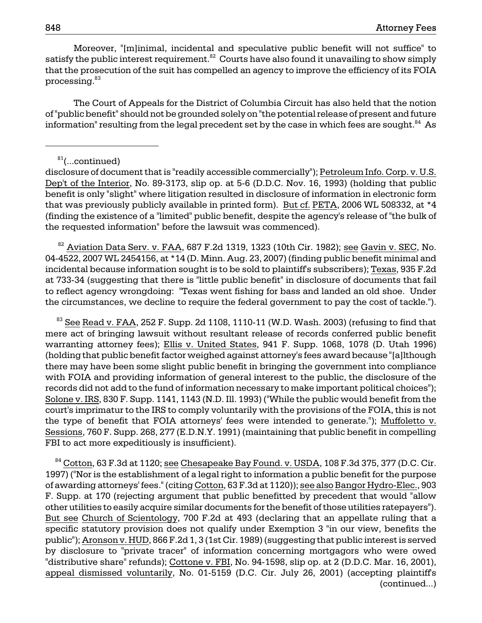Moreover, "[m]inimal, incidental and speculative public benefit will not suffice" to satisfy the public interest requirement. $82$  Courts have also found it unavailing to show simply that the prosecution of the suit has compelled an agency to improve the efficiency of its FOIA processing.<sup>83</sup>

The Court of Appeals for the District of Columbia Circuit has also held that the notion of "public benefit" should not be grounded solely on "the potential release of present and future information" resulting from the legal precedent set by the case in which fees are sought.<sup>84</sup> As

#### $81$ (...continued)

disclosure of document that is "readily accessible commercially"); Petroleum Info. Corp. v. U.S. Dep't of the Interior, No. 89-3173, slip op. at 5-6 (D.D.C. Nov. 16, 1993) (holding that public benefit is only "slight" where litigation resulted in disclosure of information in electronic form that was previously publicly available in printed form). But cf. PETA, 2006 WL 508332, at \*4 (finding the existence of a "limited" public benefit, despite the agency's release of "the bulk of the requested information" before the lawsuit was commenced).

 $82$  Aviation Data Serv. v. FAA, 687 F.2d 1319, 1323 (10th Cir. 1982); see Gavin v. SEC, No. 04-4522, 2007 WL 2454156, at \*14 (D. Minn. Aug. 23, 2007) (finding public benefit minimal and incidental because information sought is to be sold to plaintiff's subscribers); Texas, 935 F.2d at 733-34 (suggesting that there is "little public benefit" in disclosure of documents that fail to reflect agency wrongdoing: "Texas went fishing for bass and landed an old shoe. Under the circumstances, we decline to require the federal government to pay the cost of tackle.").

 $83$  See Read v. FAA, 252 F. Supp. 2d 1108, 1110-11 (W.D. Wash. 2003) (refusing to find that mere act of bringing lawsuit without resultant release of records conferred public benefit warranting attorney fees); Ellis v. United States, 941 F. Supp. 1068, 1078 (D. Utah 1996) (holding that public benefit factor weighed against attorney's fees award because "[a]lthough there may have been some slight public benefit in bringing the government into compliance with FOIA and providing information of general interest to the public, the disclosure of the records did not add to the fund of information necessary to make important political choices"); Solone v. IRS, 830 F. Supp. 1141, 1143 (N.D. Ill. 1993) ("While the public would benefit from the court's imprimatur to the IRS to comply voluntarily with the provisions of the FOIA, this is not the type of benefit that FOIA attorneys' fees were intended to generate."); Muffoletto v. Sessions, 760 F. Supp. 268, 277 (E.D.N.Y. 1991) (maintaining that public benefit in compelling FBI to act more expeditiously is insufficient).

 $84$  Cotton, 63 F.3d at 1120; see Chesapeake Bay Found. v. USDA, 108 F.3d 375, 377 (D.C. Cir. 1997) ("Nor is the establishment of a legal right to information a public benefit for the purpose of awarding attorneys' fees." (citing Cotton, 63 F.3d at 1120)); see also Bangor Hydro-Elec., 903 F. Supp. at 170 (rejecting argument that public benefitted by precedent that would "allow other utilities to easily acquire similar documents for the benefit of those utilities ratepayers"). But see Church of Scientology, 700 F.2d at 493 (declaring that an appellate ruling that a specific statutory provision does not qualify under Exemption 3 "in our view, benefits the public"); Aronson v. HUD, 866 F.2d 1, 3 (1st Cir. 1989) (suggesting that public interest is served by disclosure to "private tracer" of information concerning mortgagors who were owed "distributive share" refunds); Cottone v. FBI, No. 94-1598, slip op. at 2 (D.D.C. Mar. 16, 2001), appeal dismissed voluntarily, No. 01-5159 (D.C. Cir. July 26, 2001) (accepting plaintiff's (continued...)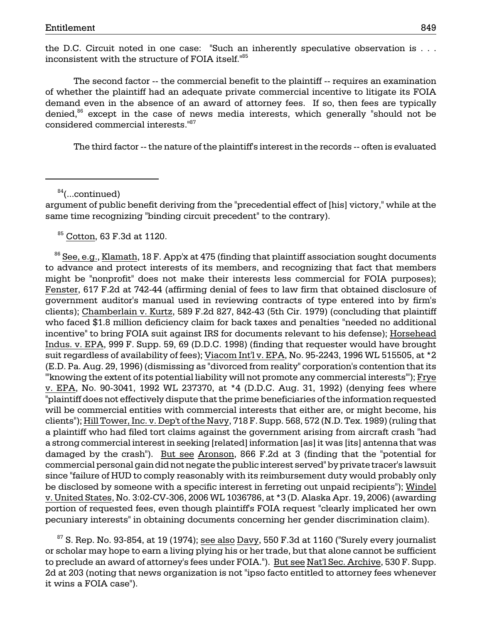the D.C. Circuit noted in one case: "Such an inherently speculative observation is . . . inconsistent with the structure of FOIA itself."85

The second factor -- the commercial benefit to the plaintiff -- requires an examination of whether the plaintiff had an adequate private commercial incentive to litigate its FOIA demand even in the absence of an award of attorney fees. If so, then fees are typically denied,<sup>86</sup> except in the case of news media interests, which generally "should not be considered commercial interests."87

The third factor -- the nature of the plaintiff's interest in the records -- often is evaluated

 $84$ (...continued)

argument of public benefit deriving from the "precedential effect of [his] victory," while at the same time recognizing "binding circuit precedent" to the contrary).

85 Cotton, 63 F.3d at 1120.

 $86$  See, e.g., Klamath, 18 F. App'x at 475 (finding that plaintiff association sought documents to advance and protect interests of its members, and recognizing that fact that members might be "nonprofit" does not make their interests less commercial for FOIA purposes); Fenster, 617 F.2d at 742-44 (affirming denial of fees to law firm that obtained disclosure of government auditor's manual used in reviewing contracts of type entered into by firm's clients); Chamberlain v. Kurtz, 589 F.2d 827, 842-43 (5th Cir. 1979) (concluding that plaintiff who faced \$1.8 million deficiency claim for back taxes and penalties "needed no additional incentive" to bring FOIA suit against IRS for documents relevant to his defense); Horsehead Indus. v. EPA, 999 F. Supp. 59, 69 (D.D.C. 1998) (finding that requester would have brought suit regardless of availability of fees); Viacom Int'l v. EPA, No. 95-2243, 1996 WL 515505, at \*2 (E.D. Pa. Aug. 29, 1996) (dismissing as "divorced from reality" corporation's contention that its "'knowing the extent of its potential liability will not promote any commercial interests"'); Frye v. EPA, No. 90-3041, 1992 WL 237370, at \*4 (D.D.C. Aug. 31, 1992) (denying fees where "plaintiff does not effectively dispute that the prime beneficiaries of the information requested will be commercial entities with commercial interests that either are, or might become, his clients"); Hill Tower, Inc. v. Dep't of the Navy, 718 F. Supp. 568, 572 (N.D. Tex. 1989) (ruling that a plaintiff who had filed tort claims against the government arising from aircraft crash "had a strong commercial interest in seeking [related] information [as] it was [its] antenna that was damaged by the crash"). But see Aronson, 866 F.2d at 3 (finding that the "potential for commercial personal gain did not negate the public interest served" by private tracer's lawsuit since "failure of HUD to comply reasonably with its reimbursement duty would probably only be disclosed by someone with a specific interest in ferreting out unpaid recipients"); Windel v. United States, No. 3:02-CV-306, 2006 WL 1036786, at \*3 (D. Alaska Apr. 19, 2006) (awarding portion of requested fees, even though plaintiff's FOIA request "clearly implicated her own pecuniary interests" in obtaining documents concerning her gender discrimination claim).

 $87$  S. Rep. No. 93-854, at 19 (1974); see also Davy, 550 F.3d at 1160 ("Surely every journalist or scholar may hope to earn a living plying his or her trade, but that alone cannot be sufficient to preclude an award of attorney's fees under FOIA."). But see Nat'l Sec. Archive, 530 F. Supp. 2d at 203 (noting that news organization is not "ipso facto entitled to attorney fees whenever it wins a FOIA case").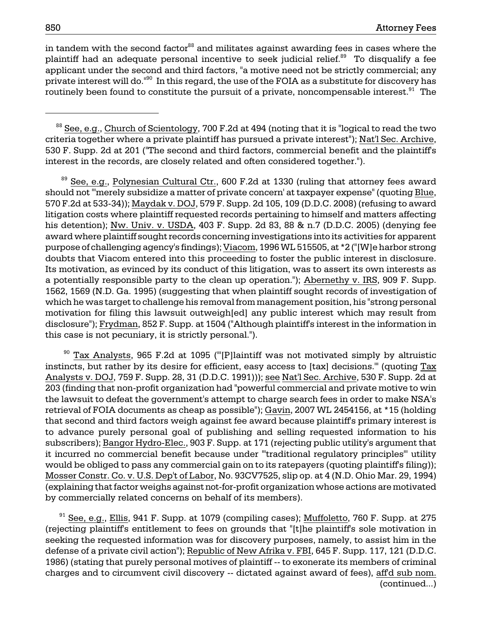in tandem with the second factor $88$  and militates against awarding fees in cases where the plaintiff had an adequate personal incentive to seek judicial relief.<sup>89</sup> To disqualify a fee applicant under the second and third factors, "a motive need not be strictly commercial; any private interest will do.<sup>"90</sup> In this regard, the use of the FOIA as a substitute for discovery has routinely been found to constitute the pursuit of a private, noncompensable interest.<sup>91</sup> The

<sup>89</sup> See, e.g., Polynesian Cultural Ctr., 600 F.2d at 1330 (ruling that attorney fees award should not "'merely subsidize a matter of private concern' at taxpayer expense" (quoting Blue, 570 F.2d at 533-34)); Maydak v. DOJ, 579 F. Supp. 2d 105, 109 (D.D.C. 2008) (refusing to award litigation costs where plaintiff requested records pertaining to himself and matters affecting his detention); Nw. Univ. v. USDA, 403 F. Supp. 2d 83, 88 & n.7 (D.D.C. 2005) (denying fee award where plaintiff sought records concerning investigations into its activities for apparent purpose of challenging agency's findings); Viacom, 1996 WL 515505, at \*2 ("[W]e harbor strong doubts that Viacom entered into this proceeding to foster the public interest in disclosure. Its motivation, as evinced by its conduct of this litigation, was to assert its own interests as a potentially responsible party to the clean up operation."); Abernethy v. IRS, 909 F. Supp. 1562, 1569 (N.D. Ga. 1995) (suggesting that when plaintiff sought records of investigation of which he was target to challenge his removal from management position, his "strong personal motivation for filing this lawsuit outweigh[ed] any public interest which may result from disclosure"); Frydman, 852 F. Supp. at 1504 ("Although plaintiff's interest in the information in this case is not pecuniary, it is strictly personal.").

 would be obliged to pass any commercial gain on to its ratepayers (quoting plaintiff's filing)); Mosser Constr. Co. v. U.S. Dep't of Labor, No. 93CV7525, slip op. at 4 (N.D. Ohio Mar. 29, 1994)  $90$  Tax Analysts, 965 F.2d at 1095 ("[P]laintiff was not motivated simply by altruistic instincts, but rather by its desire for efficient, easy access to [tax] decisions.'" (quoting Tax Analysts v. DOJ, 759 F. Supp. 28, 31 (D.D.C. 1991))); see Nat'l Sec. Archive, 530 F. Supp. 2d at 203 (finding that non-profit organization had "powerful commercial and private motive to win the lawsuit to defeat the government's attempt to charge search fees in order to make NSA's retrieval of FOIA documents as cheap as possible"); Gavin, 2007 WL 2454156, at \*15 (holding that second and third factors weigh against fee award because plaintiff's primary interest is to advance purely personal goal of publishing and selling requested information to his subscribers); Bangor Hydro-Elec., 903 F. Supp. at 171 (rejecting public utility's argument that it incurred no commercial benefit because under "'traditional regulatory principles'" utility (explaining that factor weighs against not-for-profit organization whose actions are motivated by commercially related concerns on behalf of its members).

defense of a private civil action"); <u>Republic of New Afrika v. FBI,</u> 645 F. Supp. 117, 121 (D.D.C.  $91$  See, e.g., Ellis, 941 F. Supp. at 1079 (compiling cases); Muffoletto, 760 F. Supp. at 275 (rejecting plaintiff's entitlement to fees on grounds that "[t]he plaintiff's sole motivation in seeking the requested information was for discovery purposes, namely, to assist him in the 1986) (stating that purely personal motives of plaintiff -- to exonerate its members of criminal charges and to circumvent civil discovery -- dictated against award of fees), aff'd sub nom. (continued...)

<sup>&</sup>lt;sup>88</sup> See, e.g., Church of Scientology, 700 F.2d at 494 (noting that it is "logical to read the two criteria together where a private plaintiff has pursued a private interest"); Nat'l Sec. Archive, 530 F. Supp. 2d at 201 ("The second and third factors, commercial benefit and the plaintiff's interest in the records, are closely related and often considered together.").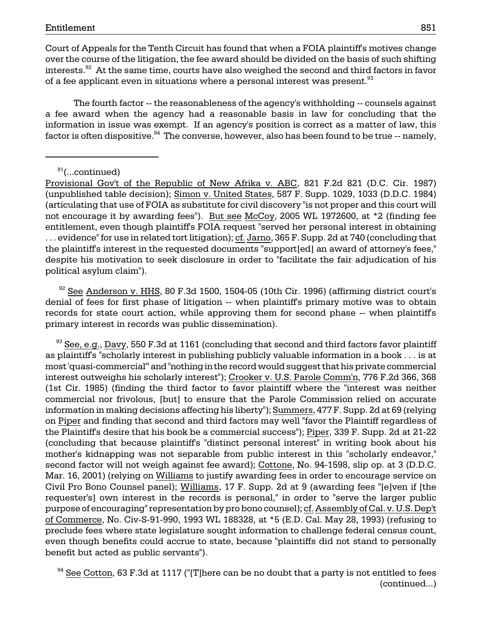Court of Appeals for the Tenth Circuit has found that when a FOIA plaintiff's motives change over the course of the litigation, the fee award should be divided on the basis of such shifting interests.<sup>92</sup> At the same time, courts have also weighed the second and third factors in favor of a fee applicant even in situations where a personal interest was present.<sup>93</sup>

The fourth factor -- the reasonableness of the agency's withholding -- counsels against a fee award when the agency had a reasonable basis in law for concluding that the information in issue was exempt. If an agency's position is correct as a matter of law, this factor is often dispositive. $94$  The converse, however, also has been found to be true  $-$  namely,

 $91$ (...continued)

Provisional Gov't of the Republic of New Afrika v. ABC, 821 F.2d 821 (D.C. Cir. 1987) (unpublished table decision); Simon v. United States, 587 F. Supp. 1029, 1033 (D.D.C. 1984) (articulating that use of FOIA as substitute for civil discovery "is not proper and this court will not encourage it by awarding fees"). But see McCoy, 2005 WL 1972600, at \*2 (finding fee entitlement, even though plaintiff's FOIA request "served her personal interest in obtaining . . . evidence" for use in related tort litigation); cf. Jarno, 365 F. Supp. 2d at 740 (concluding that the plaintiff's interest in the requested documents "support[ed] an award of attorney's fees," despite his motivation to seek disclosure in order to "facilitate the fair adjudication of his political asylum claim").

 $92$  See Anderson v. HHS, 80 F.3d 1500, 1504-05 (10th Cir. 1996) (affirming district court's denial of fees for first phase of litigation -- when plaintiff's primary motive was to obtain records for state court action, while approving them for second phase -- when plaintiff's primary interest in records was public dissemination).

the Plaintiff's desire that his book be a commercial success"); <u>Piper,</u> 339 F. Supp. 2d at 21-22 purpose of encouraging" representation by pro bono counsel); <u>cf. Assembly of Cal. v. U.S. Dep't</u>  $93$  See, e.g., Davy, 550 F.3d at 1161 (concluding that second and third factors favor plaintiff as plaintiff's "scholarly interest in publishing publicly valuable information in a book . . . is at most 'quasi-commercial'" and "nothing in the record would suggest that his private commercial interest outweighs his scholarly interest"); Crooker v. U.S. Parole Comm'n, 776 F.2d 366, 368 (1st Cir. 1985) (finding the third factor to favor plaintiff where the "interest was neither commercial nor frivolous, [but] to ensure that the Parole Commission relied on accurate information in making decisions affecting his liberty"); Summers, 477 F. Supp. 2d at 69 (relying on Piper and finding that second and third factors may well "favor the Plaintiff regardless of (concluding that because plaintiff's "distinct personal interest" in writing book about his mother's kidnapping was not separable from public interest in this "scholarly endeavor," second factor will not weigh against fee award); Cottone, No. 94-1598, slip op. at 3 (D.D.C. Mar. 16, 2001) (relying on Williams to justify awarding fees in order to encourage service on Civil Pro Bono Counsel panel); Williams, 17 F. Supp. 2d at 9 (awarding fees "[e]ven if [the requester's] own interest in the records is personal," in order to "serve the larger public of Commerce, No. Civ-S-91-990, 1993 WL 188328, at \*5 (E.D. Cal. May 28, 1993) (refusing to preclude fees where state legislature sought information to challenge federal census count, even though benefits could accrue to state, because "plaintiffs did not stand to personally benefit but acted as public servants").

 $94}$  See Cotton, 63 F.3d at 1117 ("[T]here can be no doubt that a party is not entitled to fees (continued...)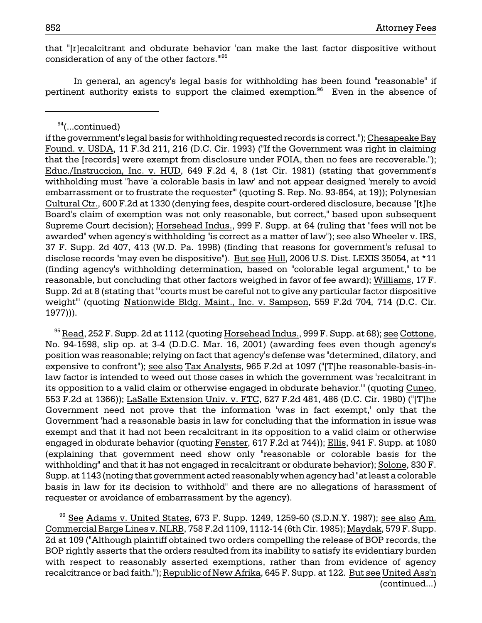that "[r]ecalcitrant and obdurate behavior 'can make the last factor dispositive without consideration of any of the other factors.'"95

In general, an agency's legal basis for withholding has been found "reasonable" if pertinent authority exists to support the claimed exemption.<sup>96</sup> Even in the absence of

 $94$ (...continued)

 No. 94-1598, slip op. at 3-4 (D.D.C. Mar. 16, 2001) (awarding fees even though agency's withholding" and that it has not engaged in recalcitrant or obdurate behavior); Solone, 830 F. <sup>95</sup> Read, 252 F. Supp. 2d at 1112 (quoting Horsehead Indus., 999 F. Supp. at 68); see Cottone, position was reasonable; relying on fact that agency's defense was "determined, dilatory, and expensive to confront"); see also Tax Analysts, 965 F.2d at 1097 ("[T]he reasonable-basis-inlaw factor is intended to weed out those cases in which the government was 'recalcitrant in its opposition to a valid claim or otherwise engaged in obdurate behavior.'" (quoting Cuneo, 553 F.2d at 1366)); LaSalle Extension Univ. v. FTC, 627 F.2d 481, 486 (D.C. Cir. 1980) ("[T]he Government need not prove that the information 'was in fact exempt,' only that the Government 'had a reasonable basis in law for concluding that the information in issue was exempt and that it had not been recalcitrant in its opposition to a valid claim or otherwise engaged in obdurate behavior (quoting Fenster, 617 F.2d at 744)); Ellis, 941 F. Supp. at 1080 (explaining that government need show only "reasonable or colorable basis for the Supp. at 1143 (noting that government acted reasonably when agency had "at least a colorable basis in law for its decision to withhold" and there are no allegations of harassment of requester or avoidance of embarrassment by the agency).

recalcitrance or bad faith."); <u>Republic of New Afrika,</u> 645 F. Supp. at 122. <u>But see United Ass'n</u>  $96$  See Adams v. United States, 673 F. Supp. 1249, 1259-60 (S.D.N.Y. 1987); see also Am. Commercial Barge Lines v. NLRB, 758 F.2d 1109, 1112-14 (6th Cir. 1985); Maydak, 579 F. Supp. 2d at 109 ("Although plaintiff obtained two orders compelling the release of BOP records, the BOP rightly asserts that the orders resulted from its inability to satisfy its evidentiary burden with respect to reasonably asserted exemptions, rather than from evidence of agency (continued...)

awarded" when agency's withholding "is correct as a matter of law"); <u>see also Wheeler v. IRS,</u> disclose records "may even be dispositive"). <u>But see Hull,</u> 2006 U.S. Dist. LEXIS 35054, at \*11 if the government's legal basis for withholding requested records is correct."); Chesapeake Bay Found. v. USDA, 11 F.3d 211, 216 (D.C. Cir. 1993) ("If the Government was right in claiming that the [records] were exempt from disclosure under FOIA, then no fees are recoverable."); Educ./Instruccion, Inc. v. HUD, 649 F.2d 4, 8 (1st Cir. 1981) (stating that government's withholding must "have 'a colorable basis in law' and not appear designed 'merely to avoid embarrassment or to frustrate the requester'" (quoting S. Rep. No. 93-854, at 19)); Polynesian Cultural Ctr., 600 F.2d at 1330 (denying fees, despite court-ordered disclosure, because "[t]he Board's claim of exemption was not only reasonable, but correct," based upon subsequent Supreme Court decision); Horsehead Indus., 999 F. Supp. at 64 (ruling that "fees will not be 37 F. Supp. 2d 407, 413 (W.D. Pa. 1998) (finding that reasons for government's refusal to (finding agency's withholding determination, based on "colorable legal argument," to be reasonable, but concluding that other factors weighed in favor of fee award); Williams, 17 F. Supp. 2d at 8 (stating that "'courts must be careful not to give any particular factor dispositive weight'" (quoting Nationwide Bldg. Maint., Inc. v. Sampson, 559 F.2d 704, 714 (D.C. Cir. 1977))).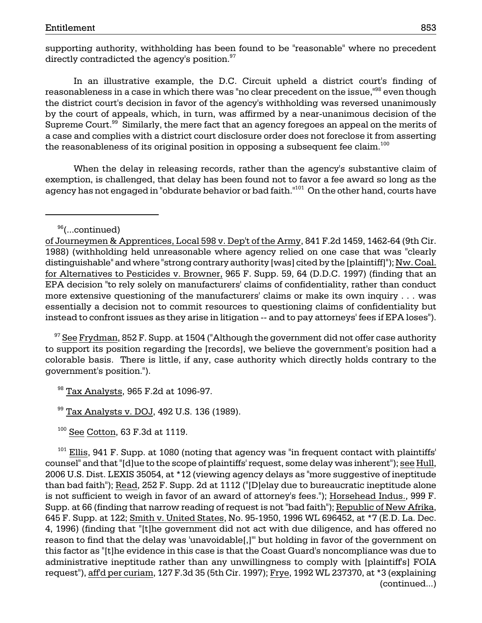supporting authority, withholding has been found to be "reasonable" where no precedent directly contradicted the agency's position.<sup>97</sup>

the reasonableness of its original position in opposing a subsequent fee claim. $^{100}\,$ In an illustrative example, the D.C. Circuit upheld a district court's finding of reasonableness in a case in which there was "no clear precedent on the issue,"<sup>98</sup> even though the district court's decision in favor of the agency's withholding was reversed unanimously by the court of appeals, which, in turn, was affirmed by a near-unanimous decision of the Supreme Court.<sup>99</sup> Similarly, the mere fact that an agency foregoes an appeal on the merits of a case and complies with a district court disclosure order does not foreclose it from asserting

When the delay in releasing records, rather than the agency's substantive claim of exemption, is challenged, that delay has been found not to favor a fee award so long as the agency has not engaged in "obdurate behavior or bad faith."<sup>101</sup> On the other hand, courts have

<sup>96</sup>(...continued)

 more extensive questioning of the manufacturers' claims or make its own inquiry . . . was instead to confront issues as they arise in litigation -- and to pay attorneys' fees if EPA loses"). of Journeymen & Apprentices, Local 598 v. Dep't of the Army, 841 F.2d 1459, 1462-64 (9th Cir. 1988) (withholding held unreasonable where agency relied on one case that was "clearly distinguishable" and where "strong contrary authority [was] cited by the [plaintiff]"); Nw. Coal. for Alternatives to Pesticides v. Browner, 965 F. Supp. 59, 64 (D.D.C. 1997) (finding that an EPA decision "to rely solely on manufacturers' claims of confidentiality, rather than conduct essentially a decision not to commit resources to questioning claims of confidentiality but

 $97$  See Frydman, 852 F. Supp. at 1504 ("Although the government did not offer case authority to support its position regarding the [records], we believe the government's position had a colorable basis. There is little, if any, case authority which directly holds contrary to the government's position.").

98 Tax Analysts, 965 F.2d at 1096-97.

<sup>99</sup> Tax Analysts v. DOJ, 492 U.S. 136 (1989).

 $100$  See Cotton, 63 F.3d at 1119.

 $101$  Ellis, 941 F. Supp. at 1080 (noting that agency was "in frequent contact with plaintiffs' counsel" and that "[d]ue to the scope of plaintiffs' request, some delay was inherent"); see Hull, 2006 U.S. Dist. LEXIS 35054, at \*12 (viewing agency delays as "more suggestive of ineptitude than bad faith"); Read, 252 F. Supp. 2d at 1112 ("[D]elay due to bureaucratic ineptitude alone is not sufficient to weigh in favor of an award of attorney's fees."); Horsehead Indus., 999 F. Supp. at 66 (finding that narrow reading of request is not "bad faith"); Republic of New Afrika, 645 F. Supp. at 122; Smith v. United States, No. 95-1950, 1996 WL 696452, at \*7 (E.D. La. Dec. 4, 1996) (finding that "[t]he government did not act with due diligence, and has offered no reason to find that the delay was 'unavoidable[,]'" but holding in favor of the government on this factor as "[t]he evidence in this case is that the Coast Guard's noncompliance was due to administrative ineptitude rather than any unwillingness to comply with [plaintiff's] FOIA request"), aff'd per curiam, 127 F.3d 35 (5th Cir. 1997); Frye, 1992 WL 237370, at \*3 (explaining (continued...)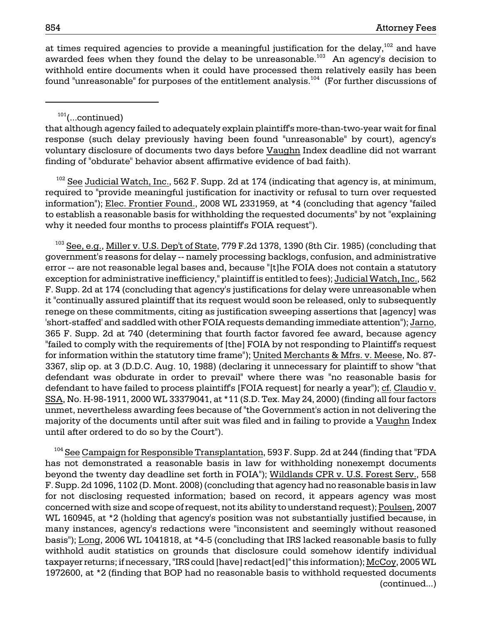at times required agencies to provide a meaningful justification for the delay,  $102$  and have awarded fees when they found the delay to be unreasonable.<sup>103</sup> An agency's decision to withhold entire documents when it could have processed them relatively easily has been found "unreasonable" for purposes of the entitlement analysis.<sup>104</sup> (For further discussions of

# 101(...continued)

that although agency failed to adequately explain plaintiff's more-than-two-year wait for final response (such delay previously having been found "unreasonable" by court), agency's voluntary disclosure of documents two days before Vaughn Index deadline did not warrant finding of "obdurate" behavior absent affirmative evidence of bad faith).

 $102$  See Judicial Watch, Inc., 562 F. Supp. 2d at 174 (indicating that agency is, at minimum, required to "provide meaningful justification for inactivity or refusal to turn over requested information"); Elec. Frontier Found., 2008 WL 2331959, at \*4 (concluding that agency "failed to establish a reasonable basis for withholding the requested documents" by not "explaining why it needed four months to process plaintiff's FOIA request").

 $^{103}$  See, e.g., Miller v. U.S. Dep't of State, 779 F.2d 1378, 1390 (8th Cir. 1985) (concluding that government's reasons for delay -- namely processing backlogs, confusion, and administrative error -- are not reasonable legal bases and, because "[t]he FOIA does not contain a statutory exception for administrative inefficiency," plaintiff is entitled to fees); Judicial Watch, Inc., 562 F. Supp. 2d at 174 (concluding that agency's justifications for delay were unreasonable when it "continually assured plaintiff that its request would soon be released, only to subsequently renege on these commitments, citing as justification sweeping assertions that [agency] was 'short-staffed' and saddled with other FOIA requests demanding immediate attention"); Jarno, 365 F. Supp. 2d at 740 (determining that fourth factor favored fee award, because agency "failed to comply with the requirements of [the] FOIA by not responding to Plaintiff's request for information within the statutory time frame"); United Merchants & Mfrs. v. Meese, No. 87 3367, slip op. at 3 (D.D.C. Aug. 10, 1988) (declaring it unnecessary for plaintiff to show "that defendant was obdurate in order to prevail" where there was "no reasonable basis for defendant to have failed to process plaintiff's [FOIA request] for nearly a year"); cf. Claudio v. SSA, No. H-98-1911, 2000 WL 33379041, at \*11 (S.D. Tex. May 24, 2000) (finding all four factors unmet, nevertheless awarding fees because of "the Government's action in not delivering the majority of the documents until after suit was filed and in failing to provide a Vaughn Index until after ordered to do so by the Court").

<sup>104</sup> See Campaign for Responsible T<u>ransplantation</u>, 593 F. Supp. 2d at 244 (finding that "FDA has not demonstrated a reasonable basis in law for withholding nonexempt documents beyond the twenty day deadline set forth in FOIA"); Wildlands CPR v. U.S. Forest Serv., 558 F. Supp. 2d 1096, 1102 (D. Mont. 2008) (concluding that agency had no reasonable basis in law for not disclosing requested information; based on record, it appears agency was most concerned with size and scope of request, not its ability to understand request); Poulsen, 2007 WL 160945, at \*2 (holding that agency's position was not substantially justified because, in many instances, agency's redactions were "inconsistent and seemingly without reasoned basis"); Long, 2006 WL 1041818, at \*4-5 (concluding that IRS lacked reasonable basis to fully withhold audit statistics on grounds that disclosure could somehow identify individual taxpayer returns; if necessary, "IRS could [have] redact[ed]" this information); McCoy, 2005 WL 1972600, at \*2 (finding that BOP had no reasonable basis to withhold requested documents (continued...)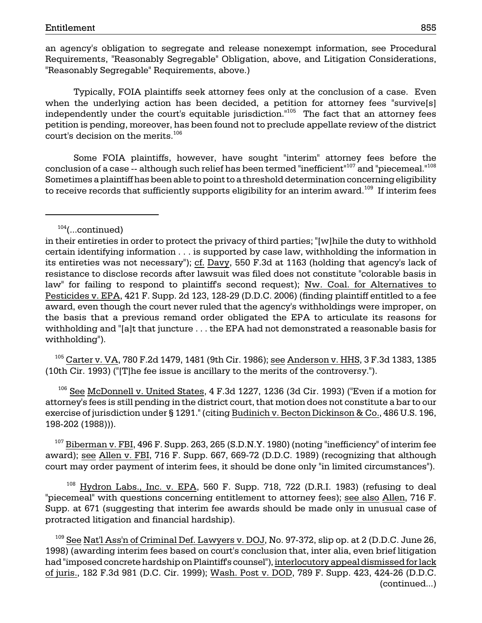an agency's obligation to segregate and release nonexempt information, see Procedural Requirements, "Reasonably Segregable" Obligation, above, and Litigation Considerations, "Reasonably Segregable" Requirements, above.)

independently under the court's equitable jurisdiction."<sup>105</sup> The fact that an attorney fees Typically, FOIA plaintiffs seek attorney fees only at the conclusion of a case. Even when the underlying action has been decided, a petition for attorney fees "survive[s] petition is pending, moreover, has been found not to preclude appellate review of the district court's decision on the merits.106

Some FOIA plaintiffs, however, have sought "interim" attorney fees before the conclusion of a case -- although such relief has been termed "inefficient"<sup>107</sup> and "piecemeal."<sup>108</sup> Sometimes a plaintiff has been able to point to a threshold determination concerning eligibility to receive records that sufficiently supports eligibility for an interim award.<sup>109</sup> If interim fees

<sup>105</sup> Carter v. VA, 780 F.2d 1479, 1481 (9th Cir. 1986); see Anderson v. HHS, 3 F.3d 1383, 1385 (10th Cir. 1993) ("[T]he fee issue is ancillary to the merits of the controversy.").

106 See McDonnell v. United States, 4 F.3d 1227, 1236 (3d Cir. 1993) ("Even if a motion for attorney's fees is still pending in the district court, that motion does not constitute a bar to our exercise of jurisdiction under § 1291." (citing Budinich v. Becton Dickinson & Co., 486 U.S. 196, 198-202 (1988))).

 $107$  Biberman v. FBI, 496 F. Supp. 263, 265 (S.D.N.Y. 1980) (noting "inefficiency" of interim fee award); see Allen v. FBI, 716 F. Supp. 667, 669-72 (D.D.C. 1989) (recognizing that although court may order payment of interim fees, it should be done only "in limited circumstances").

<sup>108</sup> Hydron Labs., Inc. v. EPA, 560 F. Supp. 718, 722 (D.R.I. 1983) (refusing to deal "piecemeal" with questions concerning entitlement to attorney fees); see also Allen, 716 F. Supp. at 671 (suggesting that interim fee awards should be made only in unusual case of protracted litigation and financial hardship).

 $109$  See Nat'l Ass'n of Criminal Def. Lawyers v. DOJ, No. 97-372, slip op. at 2 (D.D.C. June 26, 1998) (awarding interim fees based on court's conclusion that, inter alia, even brief litigation had "imposed concrete hardship on Plaintiff's counsel"), interlocutory appeal dismissed for lack of juris., 182 F.3d 981 (D.C. Cir. 1999); Wash. Post v. DOD, 789 F. Supp. 423, 424-26 (D.D.C. (continued...)

 $104$ (...continued)

in their entireties in order to protect the privacy of third parties; "[w]hile the duty to withhold certain identifying information . . . is supported by case law, withholding the information in its entireties was not necessary"); cf. Davy, 550 F.3d at 1163 (holding that agency's lack of resistance to disclose records after lawsuit was filed does not constitute "colorable basis in law" for failing to respond to plaintiff's second request); Nw. Coal. for Alternatives to Pesticides v. EPA, 421 F. Supp. 2d 123, 128-29 (D.D.C. 2006) (finding plaintiff entitled to a fee award, even though the court never ruled that the agency's withholdings were improper, on the basis that a previous remand order obligated the EPA to articulate its reasons for withholding and "[a]t that juncture . . . the EPA had not demonstrated a reasonable basis for withholding").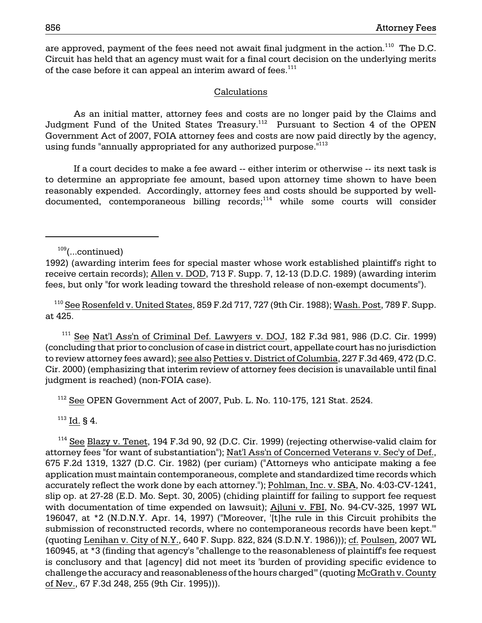are approved, payment of the fees need not await final judgment in the action.<sup>110</sup> The D.C. Circuit has held that an agency must wait for a final court decision on the underlying merits of the case before it can appeal an interim award of fees. $111$ 

### Calculations

As an initial matter, attorney fees and costs are no longer paid by the Claims and Judgment Fund of the United States Treasury.<sup>112</sup> Pursuant to Section 4 of the OPEN Government Act of 2007, FOIA attorney fees and costs are now paid directly by the agency, using funds "annually appropriated for any authorized purpose."<sup>113</sup>

If a court decides to make a fee award -- either interim or otherwise -- its next task is to determine an appropriate fee amount, based upon attorney time shown to have been reasonably expended. Accordingly, attorney fees and costs should be supported by welldocumented, contemporaneous billing records;<sup>114</sup> while some courts will consider

<sup>110</sup> See Rosenfeld v. United States, 859 F.2d 717, 727 (9th Cir. 1988); Wash. Post, 789 F. Supp. at 425.

 $111$  See Nat'l Ass'n of Criminal Def. Lawyers v. DOJ, 182 F.3d 981, 986 (D.C. Cir. 1999) (concluding that prior to conclusion of case in district court, appellate court has no jurisdiction to review attorney fees award); see also Petties v. District of Columbia, 227 F.3d 469, 472 (D.C. Cir. 2000) (emphasizing that interim review of attorney fees decision is unavailable until final judgment is reached) (non-FOIA case).

 $112$  See OPEN Government Act of 2007, Pub. L. No. 110-175, 121 Stat. 2524.

 $113$  Id. § 4.

 $114$  See Blazy v. Tenet, 194 F.3d 90, 92 (D.C. Cir. 1999) (rejecting otherwise-valid claim for attorney fees "for want of substantiation"); Nat'l Ass'n of Concerned Veterans v. Sec'y of Def., 675 F.2d 1319, 1327 (D.C. Cir. 1982) (per curiam) ("Attorneys who anticipate making a fee application must maintain contemporaneous, complete and standardized time records which accurately reflect the work done by each attorney."); Pohlman, Inc. v. SBA, No. 4:03-CV-1241, slip op. at 27-28 (E.D. Mo. Sept. 30, 2005) (chiding plaintiff for failing to support fee request with documentation of time expended on lawsuit); Ajluni v. FBI, No. 94-CV-325, 1997 WL 196047, at \*2 (N.D.N.Y. Apr. 14, 1997) ("Moreover, '[t]he rule in this Circuit prohibits the submission of reconstructed records, where no contemporaneous records have been kept.'" (quoting Lenihan v. City of N.Y., 640 F. Supp. 822, 824 (S.D.N.Y. 1986))); cf. Poulsen, 2007 WL 160945, at \*3 (finding that agency's "challenge to the reasonableness of plaintiff's fee request is conclusory and that [agency] did not meet its 'burden of providing specific evidence to challenge the accuracy and reasonableness of the hours charged'" (quoting McGrath v. County of Nev., 67 F.3d 248, 255 (9th Cir. 1995))).

 $109$ (...continued)

<sup>1992) (</sup>awarding interim fees for special master whose work established plaintiff's right to receive certain records); Allen v. DOD, 713 F. Supp. 7, 12-13 (D.D.C. 1989) (awarding interim fees, but only "for work leading toward the threshold release of non-exempt documents").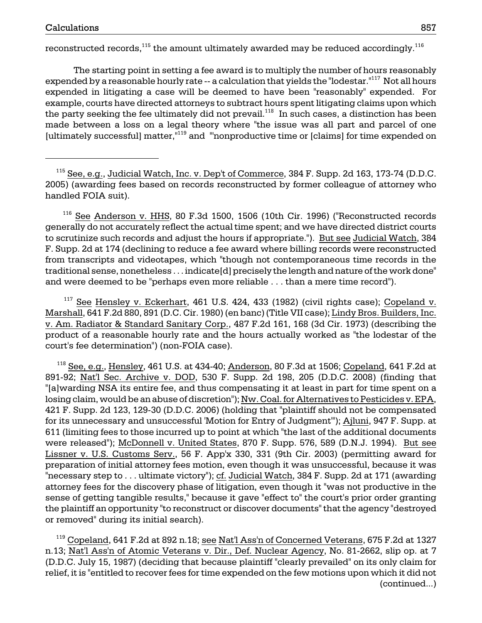reconstructed records, $^{115}$  the amount ultimately awarded may be reduced accordingly. $^{116}$ 

The starting point in setting a fee award is to multiply the number of hours reasonably expended by a reasonable hourly rate -- a calculation that yields the "lodestar."<sup>117</sup> Not all hours expended in litigating a case will be deemed to have been "reasonably" expended. For example, courts have directed attorneys to subtract hours spent litigating claims upon which the party seeking the fee ultimately did not prevail.<sup>118</sup> In such cases, a distinction has been made between a loss on a legal theory where "the issue was all part and parcel of one [ultimately successful] matter,<sup>"119</sup> and "'nonproductive time or [claims] for time expended on

 116 See Anderson v. HHS, 80 F.3d 1500, 1506 (10th Cir. 1996) ("Reconstructed records generally do not accurately reflect the actual time spent; and we have directed district courts to scrutinize such records and adjust the hours if appropriate."). But see Judicial Watch, 384 F. Supp. 2d at 174 (declining to reduce a fee award where billing records were reconstructed from transcripts and videotapes, which "though not contemporaneous time records in the traditional sense, nonetheless . . . indicate[d] precisely the length and nature of the work done" and were deemed to be "perhaps even more reliable . . . than a mere time record").

 $117$  See Hensley v. Eckerhart, 461 U.S. 424, 433 (1982) (civil rights case); Copeland v. Marshall, 641 F.2d 880, 891 (D.C. Cir. 1980) (en banc) (Title VII case); Lindy Bros. Builders, Inc. v. Am. Radiator & Standard Sanitary Corp., 487 F.2d 161, 168 (3d Cir. 1973) (describing the product of a reasonable hourly rate and the hours actually worked as "the lodestar of the court's fee determination") (non-FOIA case).

 $^{118}$  See, e.g., Hensley, 461 U.S. at 434-40; Anderson, 80 F.3d at 1506; Copeland, 641 F.2d at 891-92; Nat'l Sec. Archive v. DOD, 530 F. Supp. 2d 198, 205 (D.D.C. 2008) (finding that "[a]warding NSA its entire fee, and thus compensating it at least in part for time spent on a losing claim, would be an abuse of discretion"); Nw. Coal. for Alternatives to Pesticides v. EPA, 421 F. Supp. 2d 123, 129-30 (D.D.C. 2006) (holding that "plaintiff should not be compensated for its unnecessary and unsuccessful 'Motion for Entry of Judgment'"); Ajluni, 947 F. Supp. at 611 (limiting fees to those incurred up to point at which "the last of the additional documents were released"); McDonnell v. United States, 870 F. Supp. 576, 589 (D.N.J. 1994). But see Lissner v. U.S. Customs Serv., 56 F. App'x 330, 331 (9th Cir. 2003) (permitting award for preparation of initial attorney fees motion, even though it was unsuccessful, because it was "necessary step to . . . ultimate victory"); cf. Judicial Watch, 384 F. Supp. 2d at 171 (awarding attorney fees for the discovery phase of litigation, even though it "was not productive in the sense of getting tangible results," because it gave "effect to" the court's prior order granting the plaintiff an opportunity "to reconstruct or discover documents" that the agency "destroyed or removed" during its initial search).

<sup>119</sup> Copeland, 641 F.2d at 892 n.18; see Nat'l Ass'n of Concerned Veterans, 675 F.2d at 1327 n.13; Nat'l Ass'n of Atomic Veterans v. Dir., Def. Nuclear Agency, No. 81-2662, slip op. at 7 (D.D.C. July 15, 1987) (deciding that because plaintiff "clearly prevailed" on its only claim for relief, it is "entitled to recover fees for time expended on the few motions upon which it did not (continued...)

 $115$  See, e.g., Judicial Watch, Inc. v. Dep't of Commerce, 384 F. Supp. 2d 163, 173-74 (D.D.C. 2005) (awarding fees based on records reconstructed by former colleague of attorney who handled FOIA suit).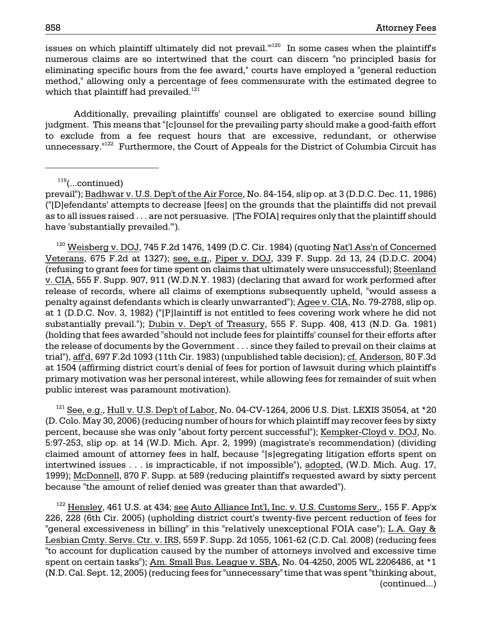issues on which plaintiff ultimately did not prevail.<sup>"120</sup> In some cases when the plaintiff's numerous claims are so intertwined that the court can discern "no principled basis for eliminating specific hours from the fee award," courts have employed a "general reduction method," allowing only a percentage of fees commensurate with the estimated degree to which that plaintiff had prevailed.<sup>121</sup>

Additionally, prevailing plaintiffs' counsel are obligated to exercise sound billing judgment. This means that "[c]ounsel for the prevailing party should make a good-faith effort to exclude from a fee request hours that are excessive, redundant, or otherwise unnecessary.<sup>"122</sup> Furthermore, the Court of Appeals for the District of Columbia Circuit has

 $119$ (...continued)

<sup>120</sup> Weisberg v. DOJ, 745 F.2d 1476, 1499 (D.C. Cir. 1984) (quoting Nat'l Ass'n of Concerned Veterans, 675 F.2d at 1327); see, e.g., Piper v. DOJ, 339 F. Supp. 2d 13, 24 (D.D.C. 2004) (refusing to grant fees for time spent on claims that ultimately were unsuccessful); Steenland v. CIA, 555 F. Supp. 907, 911 (W.D.N.Y. 1983) (declaring that award for work performed after release of records, where all claims of exemptions subsequently upheld, "would assess a penalty against defendants which is clearly unwarranted"); Agee v. CIA, No. 79-2788, slip op. at 1 (D.D.C. Nov. 3, 1982) ("[P]laintiff is not entitled to fees covering work where he did not substantially prevail."); Dubin v. Dep't of Treasury, 555 F. Supp. 408, 413 (N.D. Ga. 1981) (holding that fees awarded "should not include fees for plaintiffs' counsel for their efforts after the release of documents by the Government . . . since they failed to prevail on their claims at trial"), aff'd, 697 F.2d 1093 (11th Cir. 1983) (unpublished table decision); cf. Anderson, 80 F.3d at 1504 (affirming district court's denial of fees for portion of lawsuit during which plaintiff's primary motivation was her personal interest, while allowing fees for remainder of suit when public interest was paramount motivation).

 $^{121}$  See, e.g., Hull v. U.S. Dep't of Labor, No. 04-CV-1264, 2006 U.S. Dist. LEXIS 35054, at \*20 (D. Colo. May 30, 2006) (reducing number of hours for which plaintiff may recover fees by sixty percent, because she was only "about forty percent successful"); Kempker-Cloyd v. DOJ, No. 5:97-253, slip op. at 14 (W.D. Mich. Apr. 2, 1999) (magistrate's recommendation) (dividing claimed amount of attorney fees in half, because "[s]egregating litigation efforts spent on intertwined issues . . . is impracticable, if not impossible"), adopted, (W.D. Mich. Aug. 17, 1999); McDonnell, 870 F. Supp. at 589 (reducing plaintiff's requested award by sixty percent because "the amount of relief denied was greater than that awarded").

 $122$  Hensley, 461 U.S. at 434; see Auto Alliance Int'l, Inc. v. U.S. Customs Serv., 155 F. App'x 226, 228 (6th Cir. 2005) (upholding district court's twenty-five percent reduction of fees for "general excessiveness in billing" in this "relatively unexceptional FOIA case"); L.A. Gay & Lesbian Cmty. Servs. Ctr. v. IRS, 559 F. Supp. 2d 1055, 1061-62 (C.D. Cal. 2008) (reducing fees "to account for duplication caused by the number of attorneys involved and excessive time spent on certain tasks"); Am. Small Bus. League v. SBA, No. 04-4250, 2005 WL 2206486, at \*1 (N.D. Cal. Sept. 12, 2005) (reducing fees for "unnecessary" time that was spent "thinking about, (continued...)

prevail"); Badhwar v. U.S. Dep't of the Air Force, No. 84-154, slip op. at 3 (D.D.C. Dec. 11, 1986) ("[D]efendants' attempts to decrease [fees] on the grounds that the plaintiffs did not prevail as to all issues raised . . . are not persuasive. [The FOIA] requires only that the plaintiff should have 'substantially prevailed.'").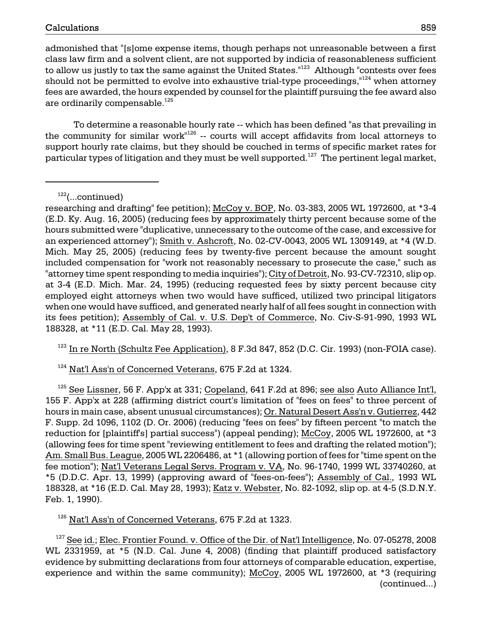admonished that "[s]ome expense items, though perhaps not unreasonable between a first class law firm and a solvent client, are not supported by indicia of reasonableness sufficient to allow us justly to tax the same against the United States." $123$  Although "contests over fees should not be permitted to evolve into exhaustive trial-type proceedings,"<sup>124</sup> when attorney fees are awarded, the hours expended by counsel for the plaintiff pursuing the fee award also are ordinarily compensable.<sup>125</sup>

To determine a reasonable hourly rate -- which has been defined "as that prevailing in the community for similar work"126 -- courts will accept affidavits from local attorneys to support hourly rate claims, but they should be couched in terms of specific market rates for particular types of litigation and they must be well supported.<sup>127</sup> The pertinent legal market,

 $122$ (...continued)

researching and drafting" fee petition); McCoy v. BOP, No. 03-383, 2005 WL 1972600, at \*3-4 (E.D. Ky. Aug. 16, 2005) (reducing fees by approximately thirty percent because some of the hours submitted were "duplicative, unnecessary to the outcome of the case, and excessive for an experienced attorney"); Smith v. Ashcroft, No. 02-CV-0043, 2005 WL 1309149, at \*4 (W.D. Mich. May 25, 2005) (reducing fees by twenty-five percent because the amount sought included compensation for "work not reasonably necessary to prosecute the case," such as "attorney time spent responding to media inquiries"); City of Detroit, No. 93-CV-72310, slip op. at 3-4 (E.D. Mich. Mar. 24, 1995) (reducing requested fees by sixty percent because city employed eight attorneys when two would have sufficed, utilized two principal litigators when one would have sufficed, and generated nearly half of all fees sought in connection with its fees petition); Assembly of Cal. v. U.S. Dep't of Commerce, No. Civ-S-91-990, 1993 WL 188328, at \*11 (E.D. Cal. May 28, 1993).

 $123$  In re North (Schultz Fee Application), 8 F.3d 847, 852 (D.C. Cir. 1993) (non-FOIA case).

 $124}$  Nat'l Ass'n of Concerned Veterans, 675 F.2d at 1324.

 $125$  See Lissner, 56 F. App'x at 331; Copeland, 641 F.2d at 896; see also Auto Alliance Int'l, 155 F. App'x at 228 (affirming district court's limitation of "fees on fees" to three percent of hours in main case, absent unusual circumstances); Or. Natural Desert Ass'n v. Gutierrez, 442 F. Supp. 2d 1096, 1102 (D. Or. 2006) (reducing "fees on fees" by fifteen percent "to match the reduction for [plaintiff's] partial success") (appeal pending); McCoy, 2005 WL 1972600, at \*3 (allowing fees for time spent "reviewing entitlement to fees and drafting the related motion"); Am. Small Bus. League, 2005 WL 2206486, at \*1 (allowing portion of fees for "time spent on the fee motion"); Nat'l Veterans Legal Servs. Program v. VA, No. 96-1740, 1999 WL 33740260, at \*5 (D.D.C. Apr. 13, 1999) (approving award of "fees-on-fees"); Assembly of Cal., 1993 WL 188328, at \*16 (E.D. Cal. May 28, 1993); Katz v. Webster, No. 82-1092, slip op. at 4-5 (S.D.N.Y. Feb. 1, 1990).

 $126$  Nat'l Ass'n of Concerned Veterans, 675 F.2d at 1323.

 $127$  See id.; Elec. Frontier Found. v. Office of the Dir. of Nat'l Intelligence, No. 07-05278, 2008 WL 2331959, at \*5 (N.D. Cal. June 4, 2008) (finding that plaintiff produced satisfactory evidence by submitting declarations from four attorneys of comparable education, expertise, experience and within the same community); McCoy, 2005 WL 1972600, at \*3 (requiring (continued...)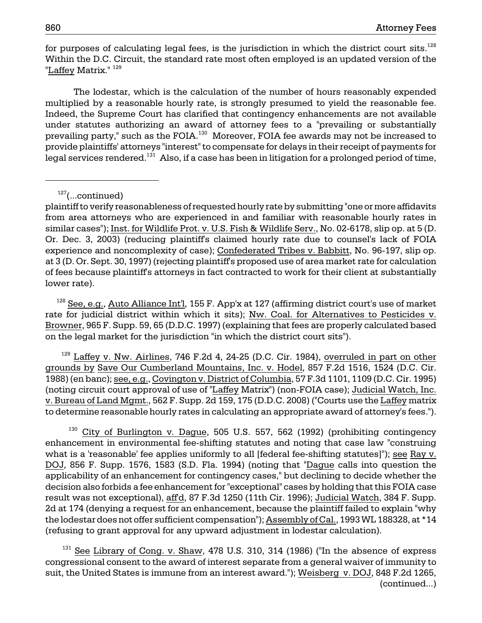for purposes of calculating legal fees, is the jurisdiction in which the district court sits. $128$ Within the D.C. Circuit, the standard rate most often employed is an updated version of the "Laffey Matrix." <sup>129</sup>

The lodestar, which is the calculation of the number of hours reasonably expended multiplied by a reasonable hourly rate, is strongly presumed to yield the reasonable fee. Indeed, the Supreme Court has clarified that contingency enhancements are not available under statutes authorizing an award of attorney fees to a "prevailing or substantially prevailing party," such as the FOIA. 130 Moreover, FOIA fee awards may not be increased to provide plaintiffs' attorneys "interest" to compensate for delays in their receipt of payments for legal services rendered.<sup>131</sup> Also, if a case has been in litigation for a prolonged period of time,

 $127$ (...continued)

<sup>128</sup> See, e.g., Auto Alliance Int'l, 155 F. App'x at 127 (affirming district court's use of market rate for judicial district within which it sits); Nw. Coal. for Alternatives to Pesticides v. Browner, 965 F. Supp. 59, 65 (D.D.C. 1997) (explaining that fees are properly calculated based on the legal market for the jurisdiction "in which the district court sits").

 $129$  Laffey v. Nw. Airlines, 746 F.2d 4, 24-25 (D.C. Cir. 1984), overruled in part on other grounds by Save Our Cumberland Mountains, Inc. v. Hodel, 857 F.2d 1516, 1524 (D.C. Cir. 1988) (en banc); see, e.g., Covington v. District of Columbia, 57 F.3d 1101, 1109 (D.C. Cir. 1995) (noting circuit court approval of use of "Laffey Matrix") (non-FOIA case); Judicial Watch, Inc. v. Bureau of Land Mgmt., 562 F. Supp. 2d 159, 175 (D.D.C. 2008) ("Courts use the Laffey matrix to determine reasonable hourly rates in calculating an appropriate award of attorney's fees.").

 $130$  City of Burlington v. Dague, 505 U.S. 557, 562 (1992) (prohibiting contingency enhancement in environmental fee-shifting statutes and noting that case law "construing what is a 'reasonable' fee applies uniformly to all [federal fee-shifting statutes]"); see Ray v. DOJ, 856 F. Supp. 1576, 1583 (S.D. Fla. 1994) (noting that "Dague calls into question the applicability of an enhancement for contingency cases," but declining to decide whether the decision also forbids a fee enhancement for "exceptional" cases by holding that this FOIA case result was not exceptional), aff'd, 87 F.3d 1250 (11th Cir. 1996); Judicial Watch, 384 F. Supp. 2d at 174 (denying a request for an enhancement, because the plaintiff failed to explain "why the lodestar does not offer sufficient compensation"); Assembly of Cal., 1993 WL 188328, at \*14 (refusing to grant approval for any upward adjustment in lodestar calculation).

 $131$  See Library of Cong. v. Shaw, 478 U.S. 310, 314 (1986) ("In the absence of express congressional consent to the award of interest separate from a general waiver of immunity to suit, the United States is immune from an interest award."); Weisberg v. DOJ, 848 F.2d 1265, (continued...)

plaintiff to verify reasonableness of requested hourly rate by submitting "one or more affidavits from area attorneys who are experienced in and familiar with reasonable hourly rates in similar cases"); Inst. for Wildlife Prot. v. U.S. Fish & Wildlife Serv., No. 02-6178, slip op. at 5 (D. Or. Dec. 3, 2003) (reducing plaintiff's claimed hourly rate due to counsel's lack of FOIA experience and noncomplexity of case); Confederated Tribes v. Babbitt, No. 96-197, slip op. at 3 (D. Or. Sept. 30, 1997) (rejecting plaintiff's proposed use of area market rate for calculation of fees because plaintiff's attorneys in fact contracted to work for their client at substantially lower rate).